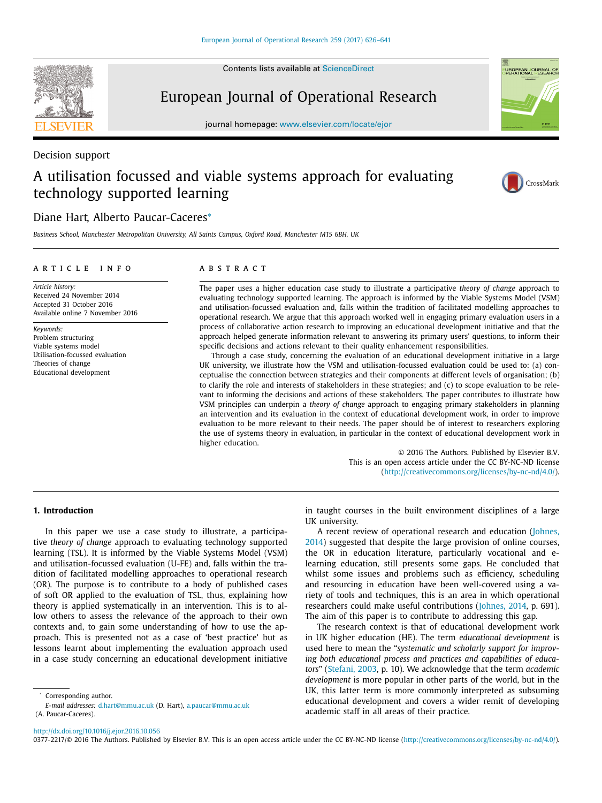Contents lists available at [ScienceDirect](http://www.ScienceDirect.com)

# European Journal of Operational Research

journal homepage: [www.elsevier.com/locate/ejor](http://www.elsevier.com/locate/ejor)

# Decision support

# A utilisation focussed and viable systems approach for evaluating technology supported learning

# Diane Hart, Alberto Paucar-Caceres<sup>∗</sup>

*Business School, Manchester Metropolitan University, All Saints Campus, Oxford Road, Manchester M15 6BH, UK*

# a r t i c l e i n f o

#### *Article history:* Received 24 November 2014 Accepted 31 October 2016 Available online 7 November 2016

*Keywords:* Problem structuring Viable systems model Utilisation-focussed evaluation Theories of change Educational development

# A B S T R A C T

The paper uses a higher education case study to illustrate a participative *theory of change* approach to evaluating technology supported learning. The approach is informed by the Viable Systems Model (VSM) and utilisation-focussed evaluation and, falls within the tradition of facilitated modelling approaches to operational research. We argue that this approach worked well in engaging primary evaluation users in a process of collaborative action research to improving an educational development initiative and that the approach helped generate information relevant to answering its primary users' questions, to inform their specific decisions and actions relevant to their quality enhancement responsibilities.

Through a case study, concerning the evaluation of an educational development initiative in a large UK university, we illustrate how the VSM and utilisation-focussed evaluation could be used to: (a) conceptualise the connection between strategies and their components at different levels of organisation; (b) to clarify the role and interests of stakeholders in these strategies; and (c) to scope evaluation to be relevant to informing the decisions and actions of these stakeholders. The paper contributes to illustrate how VSM principles can underpin a *theory of change* approach to engaging primary stakeholders in planning an intervention and its evaluation in the context of educational development work, in order to improve evaluation to be more relevant to their needs. The paper should be of interest to researchers exploring the use of systems theory in evaluation, in particular in the context of educational development work in higher education.

© 2016 The Authors. Published by Elsevier B.V. This is an open access article under the CC BY-NC-ND license [\(http://creativecommons.org/licenses/by-nc-nd/4.0/\)](http://creativecommons.org/licenses/by-nc-nd/4.0/).

# **1. Introduction**

In this paper we use a case study to illustrate, a participative *theory of change* approach to evaluating technology supported learning (TSL). It is informed by the Viable Systems Model (VSM) and utilisation-focussed evaluation (U-FE) and, falls within the tradition of facilitated modelling approaches to operational research (OR). The purpose is to contribute to a body of published cases of soft OR applied to the evaluation of TSL, thus, explaining how theory is applied systematically in an intervention. This is to allow others to assess the relevance of the approach to their own contexts and, to gain some understanding of how to use the approach. This is presented not as a case of 'best practice' but as lessons learnt about implementing the evaluation approach used in a case study concerning an educational development initiative

*E-mail addresses:* [d.hart@mmu.ac.uk](mailto:d.hart@mmu.ac.uk) (D. Hart), [a.paucar@mmu.ac.uk](mailto:a.paucar@mmu.ac.uk) (A. Paucar-Caceres).

in taught courses in the built environment disciplines of a large UK university.

A recent review of [operational](#page-14-0) research and education (Johnes, 2014) suggested that despite the large provision of online courses, the OR in education literature, particularly vocational and elearning education, still presents some gaps. He concluded that whilst some issues and problems such as efficiency, scheduling and resourcing in education have been well-covered using a variety of tools and techniques, this is an area in which operational researchers could make useful contributions [\(Johnes,](#page-14-0) 2014, p. 691). The aim of this paper is to contribute to addressing this gap.

The research context is that of educational development work in UK higher education (HE). The term *educational development* is used here to mean the "*systematic and scholarly support for improving both educational process and practices and capabilities of educators*" [\(Stefani,](#page-15-0) 2003, p. 10). We acknowledge that the term *academic development* is more popular in other parts of the world, but in the UK, this latter term is more commonly interpreted as subsuming educational development and covers a wider remit of developing academic staff in all areas of their practice.

0377-2217/© 2016 The Authors. Published by Elsevier B.V. This is an open access article under the CC BY-NC-ND license [\(http://creativecommons.org/licenses/by-nc-nd/4.0/\)](http://creativecommons.org/licenses/by-nc-nd/4.0/).





CrossMark

<sup>∗</sup> Corresponding author.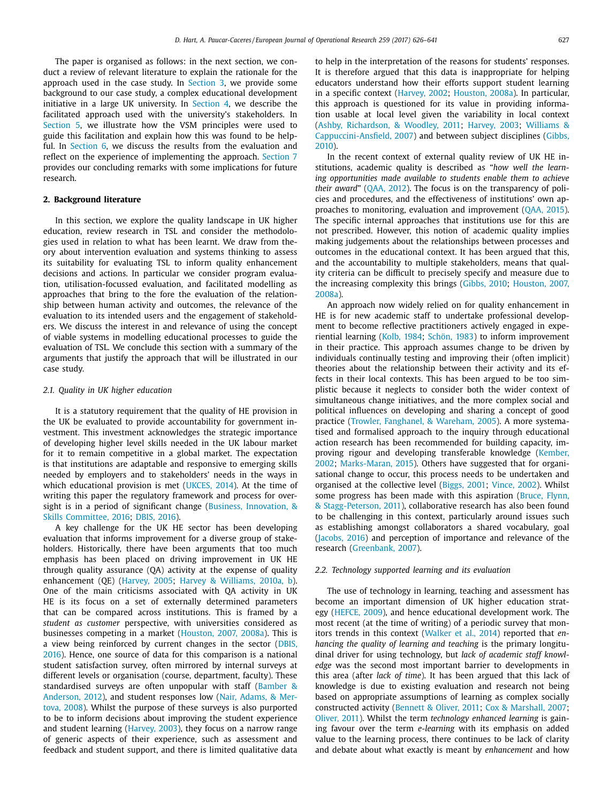<span id="page-1-0"></span>The paper is organised as follows: in the next section, we conduct a review of relevant literature to explain the rationale for the approach used in the case study. In [Section](#page-5-0) 3, we provide some background to our case study, a complex educational development initiative in a large UK university. In [Section](#page-6-0) 4, we describe the facilitated approach used with the university's stakeholders. In [Section](#page-7-0) 5, we illustrate how the VSM principles were used to guide this facilitation and explain how this was found to be helpful. In [Section](#page-10-0) 6, we discuss the results from the evaluation and reflect on the experience of implementing the approach. [Section](#page-13-0) 7 provides our concluding remarks with some implications for future research.

# **2. Background literature**

In this section, we explore the quality landscape in UK higher education, review research in TSL and consider the methodologies used in relation to what has been learnt. We draw from theory about intervention evaluation and systems thinking to assess its suitability for evaluating TSL to inform quality enhancement decisions and actions. In particular we consider program evaluation, utilisation-focussed evaluation, and facilitated modelling as approaches that bring to the fore the evaluation of the relationship between human activity and outcomes, the relevance of the evaluation to its intended users and the engagement of stakeholders. We discuss the interest in and relevance of using the concept of viable systems in modelling educational processes to guide the evaluation of TSL. We conclude this section with a summary of the arguments that justify the approach that will be illustrated in our case study.

#### *2.1. Quality in UK higher education*

It is a statutory requirement that the quality of HE provision in the UK be evaluated to provide accountability for government investment. This investment acknowledges the strategic importance of developing higher level skills needed in the UK labour market for it to remain competitive in a global market. The expectation is that institutions are adaptable and responsive to emerging skills needed by employers and to stakeholders' needs in the ways in which educational provision is met [\(UKCES,](#page-15-0) 2014). At the time of writing this paper the regulatory framework and process for oversight is in a period of significant change (Business, Innovation, & Skills [Committee,](#page-14-0) 2016; [DBIS,](#page-14-0) 2016).

A key challenge for the UK HE sector has been developing evaluation that informs improvement for a diverse group of stakeholders. Historically, there have been arguments that too much emphasis has been placed on driving improvement in UK HE through quality assurance (QA) activity at the expense of quality enhancement (QE) [\(Harvey,](#page-14-0) 2005; Harvey & [Williams,](#page-14-0) 2010a, b). One of the main criticisms associated with QA activity in UK HE is its focus on a set of externally determined parameters that can be compared across institutions. This is framed by a *student as customer* perspective, with universities considered as businesses competing in a market [\(Houston,](#page-14-0) 2007, 2008a). This is a view being reinforced by current changes in the sector (DBIS, 2016). Hence, one source of data for this [comparison](#page-14-0) is a national student satisfaction survey, often mirrored by internal surveys at different levels or organisation (course, department, faculty). These standardised surveys are often unpopular with [staff \(Bamber](#page-13-0) & Anderson, 2012), and student responses low (Nair, Adams, & Mertova, 2008). Whilst the purpose of these surveys is also [purported](#page-14-0) to be to inform decisions about improving the student experience and student learning [\(Harvey,](#page-14-0) 2003), they focus on a narrow range of generic aspects of their experience, such as assessment and feedback and student support, and there is limited qualitative data to help in the interpretation of the reasons for students' responses. It is therefore argued that this data is inappropriate for helping educators understand how their efforts support student learning in a specific context [\(Harvey,](#page-14-0) 2002; [Houston,](#page-14-0) 2008a). In particular, this approach is questioned for its value in providing information usable at local level given the variability in local context (Ashby, [Richardson,](#page-13-0) & Woodley, 2011; [Harvey,](#page-14-0) 2003; Williams & [Cappuccini-Ansfield,](#page-15-0) 2007) and between subject disciplines (Gibbs, 2010).

In the recent context of external quality review of UK HE institutions, academic quality is described as "*how well the learning opportunities made available to students enable them to achieve their award*" [\(QAA,](#page-15-0) 2012). The focus is on the transparency of policies and procedures, and the effectiveness of institutions' own approaches to monitoring, evaluation and improvement [\(QAA,](#page-15-0) 2015). The specific internal approaches that institutions use for this are not prescribed. However, this notion of academic quality implies making judgements about the relationships between processes and outcomes in the educational context. It has been argued that this, and the accountability to multiple stakeholders, means that quality criteria can be difficult to precisely specify and measure due to the increasing [complexity](#page-14-0) this brings [\(Gibbs,](#page-14-0) 2010; Houston, 2007, 2008a).

An approach now widely relied on for quality enhancement in HE is for new academic staff to undertake professional development to become reflective practitioners actively engaged in experiential learning [\(Kolb,](#page-14-0) 1984; [Schön,](#page-15-0) 1983) to inform improvement in their practice. This approach assumes change to be driven by individuals continually testing and improving their (often implicit) theories about the relationship between their activity and its effects in their local contexts. This has been argued to be too simplistic because it neglects to consider both the wider context of simultaneous change initiatives, and the more complex social and political influences on developing and sharing a concept of good practice (Trowler, [Fanghanel,](#page-15-0) & Wareham, 2005). A more systematised and formalised approach to the inquiry through educational action research has been recommended for building capacity, improving rigour and developing transferable knowledge (Kember, 2002; [Marks-Maran,](#page-14-0) 2015). Others have suggested that for organisational change to occur, this process needs to be undertaken and organised at the collective level [\(Biggs,](#page-13-0) 2001; [Vince,](#page-15-0) 2002). Whilst some progress has been made with this aspiration (Bruce, Flynn, & [Stagg-Peterson,](#page-13-0) 2011), collaborative research has also been found to be challenging in this context, particularly around issues such as establishing amongst collaborators a shared vocabulary, goal [\(Jacobs,](#page-14-0) 2016) and perception of importance and relevance of the research [\(Greenbank,](#page-14-0) 2007).

#### *2.2. Technology supported learning and its evaluation*

The use of technology in learning, teaching and assessment has become an important dimension of UK higher education strategy [\(HEFCE,](#page-14-0) 2009), and hence educational development work. The most recent (at the time of writing) of a periodic survey that monitors trends in this context [\(Walker](#page-15-0) et al., 2014) reported that *enhancing the quality of learning and teaching* is the primary longitudinal driver for using technology, but *lack of academic staff knowledge* was the second most important barrier to developments in this area (after *lack of time*). It has been argued that this lack of knowledge is due to existing evaluation and research not being based on appropriate assumptions of learning as complex socially constructed activity [\(Bennett](#page-13-0) & Oliver, 2011; Cox & [Marshall,](#page-14-0) 2007; [Oliver,](#page-14-0) 2011). Whilst the term *technology enhanced learning* is gaining favour over the term *e-learning* with its emphasis on added value to the learning process, there continues to be lack of clarity and debate about what exactly is meant by *enhancement* and how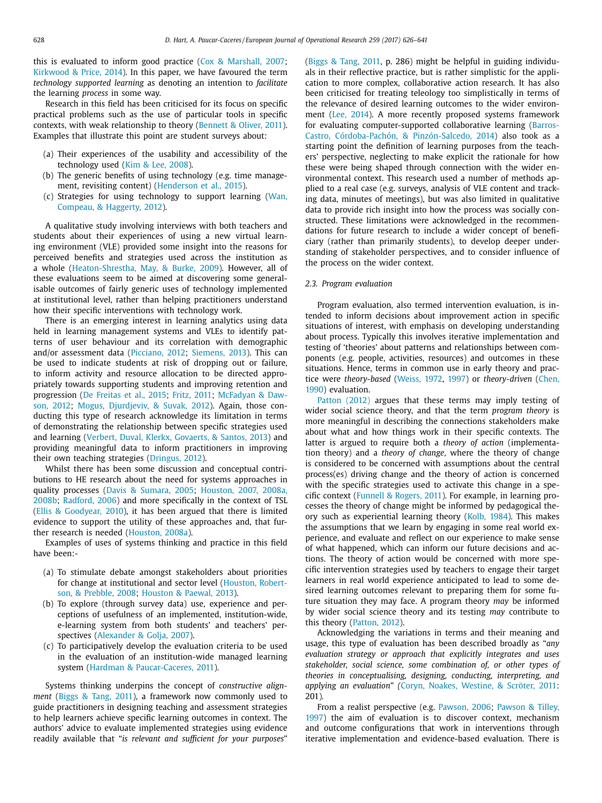<span id="page-2-0"></span>this is evaluated to inform good practice (Cox & [Marshall,](#page-14-0) 2007; [Kirkwood](#page-14-0) & Price, 2014). In this paper, we have favoured the term *technology supported learning* as denoting an intention to *facilitate* the learning *process* in some way.

Research in this field has been criticised for its focus on specific practical problems such as the use of particular tools in specific contexts, with weak relationship to theory [\(Bennett](#page-13-0) & Oliver, 2011). Examples that illustrate this point are student surveys about:

- (a) Their experiences of the usability and accessibility of the technology used (Kim & Lee, [2008\)](#page-14-0).
- (b) The generic benefits of using technology (e.g. time management, revisiting content) [\(Henderson](#page-14-0) et al., 2015).
- (c) Strategies for using [technology](#page-15-0) to support learning (Wan, Compeau, & Haggerty, 2012).

A qualitative study involving interviews with both teachers and students about their experiences of using a new virtual learning environment (VLE) provided some insight into the reasons for perceived benefits and strategies used across the institution as a whole [\(Heaton-Shrestha,](#page-14-0) May, & Burke, 2009). However, all of these evaluations seem to be aimed at discovering some generalisable outcomes of fairly generic uses of technology implemented at institutional level, rather than helping practitioners understand how their specific interventions with technology work.

There is an emerging interest in learning analytics using data held in learning management systems and VLEs to identify patterns of user behaviour and its correlation with demographic and/or assessment data [\(Picciano,](#page-14-0) 2012; [Siemens,](#page-15-0) 2013). This can be used to indicate students at risk of dropping out or failure, to inform activity and resource allocation to be directed appropriately towards supporting students and improving retention and [progression](#page-14-0) (De [Freitas](#page-14-0) et al., 2015; Fritz, [2011;](#page-14-0) McFadyan & Dawson, 2012; Mogus, [Djurdjeviv,](#page-14-0) & Suvak, 2012). Again, those conducting this type of research acknowledge its limitation in terms of demonstrating the relationship between specific strategies used and learning (Verbert, Duval, Klerkx, [Govaerts,](#page-15-0) & Santos, 2013) and providing meaningful data to inform practitioners in improving their own teaching strategies [\(Dringus,](#page-14-0) 2012).

Whilst there has been some discussion and conceptual contributions to HE research about the need for systems approaches in quality processes (Davis & [Sumara,](#page-14-0) 2005; Houston, 2007, 2008a, 2008b; [Radford,](#page-15-0) 2006) and more [specifically](#page-14-0) in the context of TSL (Ellis & [Goodyear,](#page-14-0) 2010), it has been argued that there is limited evidence to support the utility of these approaches and, that further research is needed [\(Houston,](#page-14-0) 2008a).

Examples of uses of systems thinking and practice in this field have been:-

- (a) To stimulate debate amongst stakeholders about priorities for change at [institutional](#page-14-0) and sector level (Houston, Robertson, & Prebble, 2008; [Houston](#page-14-0) & Paewal, 2013).
- (b) To explore (through survey data) use, experience and perceptions of usefulness of an implemented, institution-wide, e-learning system from both students' and teachers' perspectives [\(Alexander](#page-13-0) & Golja, 2007).
- (c) To participatively develop the evaluation criteria to be used in the evaluation of an institution-wide managed learning system (Hardman & [Paucar-Caceres,](#page-14-0) 2011).

Systems thinking underpins the concept of *constructive alignment* [\(Biggs](#page-13-0) & Tang, 2011), a framework now commonly used to guide practitioners in designing teaching and assessment strategies to help learners achieve specific learning outcomes in context. The authors' advice to evaluate implemented strategies using evidence readily available that "*is relevant and sufficient for your purposes*" [\(Biggs](#page-13-0) & Tang, 2011, p. 286) might be helpful in guiding individuals in their reflective practice, but is rather simplistic for the application to more complex, collaborative action research. It has also been criticised for treating teleology too simplistically in terms of the relevance of desired learning outcomes to the wider environment (Lee, [2014\)](#page-14-0). A more recently proposed systems framework for evaluating [computer-supported](#page-13-0) collaborative learning (Barros-Castro, Córdoba-Pachón, & Pinzón-Salcedo, 2014) also took as a starting point the definition of learning purposes from the teachers' perspective, neglecting to make explicit the rationale for how these were being shaped through connection with the wider environmental context. This research used a number of methods applied to a real case (e.g. surveys, analysis of VLE content and tracking data, minutes of meetings), but was also limited in qualitative data to provide rich insight into how the process was socially constructed. These limitations were acknowledged in the recommendations for future research to include a wider concept of beneficiary (rather than primarily students), to develop deeper understanding of stakeholder perspectives, and to consider influence of the process on the wider context.

## *2.3. Program evaluation*

Program evaluation, also termed intervention evaluation, is intended to inform decisions about improvement action in specific situations of interest, with emphasis on developing understanding about process. Typically this involves iterative implementation and testing of 'theories' about patterns and relationships between components (e.g. people, activities, resources) and outcomes in these situations. Hence, terms in common use in early theory and practice were *theory-based* [\(Weiss,](#page-15-0) 1972, [1997\)](#page-15-0) or *[theory-driven](#page-14-0)* (Chen, 1990) evaluation.

[Patton](#page-14-0) (2012) argues that these terms may imply testing of wider social science theory, and that the term *program theory* is more meaningful in describing the connections stakeholders make about what and how things work in their specific contexts. The latter is argued to require both a *theory of action* (implementation theory) and a *theory of change*, where the theory of change is considered to be concerned with assumptions about the central process(es) driving change and the theory of action is concerned with the specific strategies used to activate this change in a specific context [\(Funnell](#page-14-0) & Rogers, 2011). For example, in learning processes the theory of change might be informed by pedagogical theory such as experiential learning theory [\(Kolb,](#page-14-0) 1984). This makes the assumptions that we learn by engaging in some real world experience, and evaluate and reflect on our experience to make sense of what happened, which can inform our future decisions and actions. The theory of action would be concerned with more specific intervention strategies used by teachers to engage their target learners in real world experience anticipated to lead to some desired learning outcomes relevant to preparing them for some future situation they may face. A program theory *may* be informed by wider social science theory and its testing *may* contribute to this theory [\(Patton,](#page-14-0) 2012).

Acknowledging the variations in terms and their meaning and usage, this type of evaluation has been described broadly as "*any evaluation strategy or approach that explicitly integrates and uses stakeholder, social science, some combination of, or other types of theories in conceptualising, designing, conducting, interpreting, and applying an evaluation*" *(*Coryn, Noakes, [Westine,](#page-14-0) & Scröter, 2011: 201)*.*

From a realist perspective (e.g. [Pawson,](#page-14-0) 2006; Pawson & Tilley, 1997) the aim of evaluation is to discover context, [mechanism](#page-14-0) and outcome configurations that work in interventions through iterative implementation and evidence-based evaluation. There is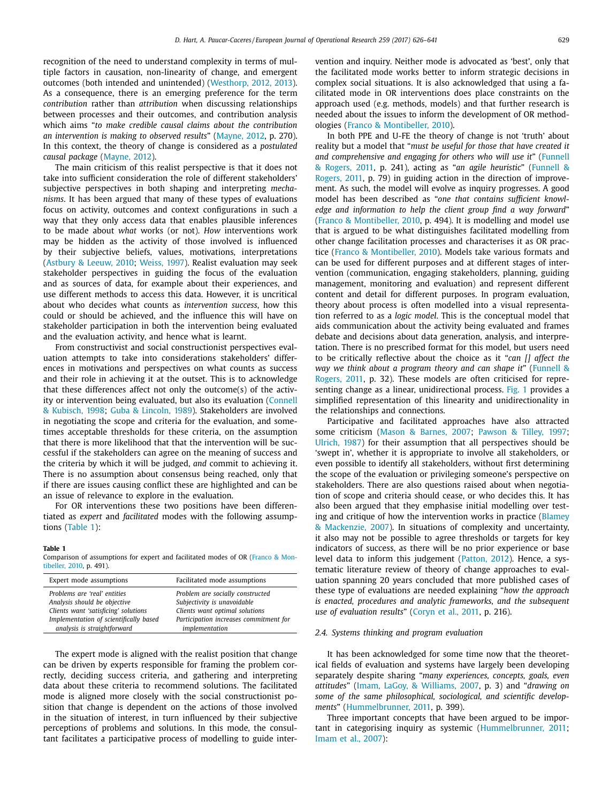recognition of the need to understand complexity in terms of multiple factors in causation, non-linearity of change, and emergent outcomes (both intended and unintended) [\(Westhorp,](#page-15-0) 2012, 2013). As a consequence, there is an emerging preference for the term *contribution* rather than *attribution* when discussing relationships between processes and their outcomes, and contribution analysis which aims "*to make credible causal claims about the contribution an intervention is making to observed results*" [\(Mayne,](#page-14-0) 2012, p. 270). In this context, the theory of change is considered as a *postulated causal package* [\(Mayne,](#page-14-0) 2012).

The main criticism of this realist perspective is that it does not take into sufficient consideration the role of different stakeholders' subjective perspectives in both shaping and interpreting *mechanisms*. It has been argued that many of these types of evaluations focus on activity, outcomes and context configurations in such a way that they only access data that enables plausible inferences to be made about *what* works (or not). *How* interventions work may be hidden as the activity of those involved is influenced by their subjective beliefs, values, motivations, interpretations [\(Astbury](#page-13-0) & Leeuw, 2010; [Weiss,](#page-15-0) 1997). Realist evaluation may seek stakeholder perspectives in guiding the focus of the evaluation and as sources of data, for example about their experiences, and use different methods to access this data. However, it is uncritical about who decides what counts as *intervention success*, how this could or should be achieved, and the influence this will have on stakeholder participation in both the intervention being evaluated and the evaluation activity, and hence what is learnt.

From constructivist and social constructionist perspectives evaluation attempts to take into considerations stakeholders' differences in motivations and perspectives on what counts as success and their role in achieving it at the outset. This is to acknowledge that these differences affect not only the outcome(s) of the activity or intervention being evaluated, but also its evaluation (Connell & Kubisch, 1998; Guba & [Lincoln,](#page-14-0) 1989). [Stakeholders](#page-14-0) are involved in negotiating the scope and criteria for the evaluation, and sometimes acceptable thresholds for these criteria, on the assumption that there is more likelihood that that the intervention will be successful if the stakeholders can agree on the meaning of success and the criteria by which it will be judged, *and* commit to achieving it. There is no assumption about consensus being reached, only that if there are issues causing conflict these are highlighted and can be an issue of relevance to explore in the evaluation.

For OR interventions these two positions have been differentiated as *expert* and *facilitated* modes with the following assumptions (Table 1):

#### **Table 1**

Comparison of [assumptions](#page-14-0) for expert and facilitated modes of OR (Franco & Montibeller, 2010, p. 491).

| Expert mode assumptions                | Facilitated mode assumptions           |
|----------------------------------------|----------------------------------------|
| Problems are 'real' entities           | Problem are socially constructed       |
| Analysis should be objective           | Subjectivity is unavoidable            |
| Clients want 'satisficing' solutions   | Clients want optimal solutions         |
| Implementation of scientifically based | Participation increases commitment for |
| analysis is straightforward            | implementation                         |

The expert mode is aligned with the realist position that change can be driven by experts responsible for framing the problem correctly, deciding success criteria, and gathering and interpreting data about these criteria to recommend solutions. The facilitated mode is aligned more closely with the social constructionist position that change is dependent on the actions of those involved in the situation of interest, in turn influenced by their subjective perceptions of problems and solutions. In this mode, the consultant facilitates a participative process of modelling to guide intervention and inquiry. Neither mode is advocated as 'best', only that the facilitated mode works better to inform strategic decisions in complex social situations. It is also acknowledged that using a facilitated mode in OR interventions does place constraints on the approach used (e.g. methods, models) and that further research is needed about the issues to inform the development of OR methodologies (Franco & [Montibeller,](#page-14-0) 2010).

In both PPE and U-FE the theory of change is not 'truth' about reality but a model that "*must be useful for those that have created it and [comprehensive](#page-14-0) and engaging for others who will use it*" (Funnell & Rogers, 2011, p. 241), acting as "*an agile heuristic*[" \(Funnell](#page-14-0) & Rogers, 2011, p. 79) in guiding action in the direction of improvement. As such, the model will evolve as inquiry progresses. A good model has been described as "*one that contains sufficient knowledge and information to help the client group find a way forward*" (Franco & [Montibeller,](#page-14-0) 2010, p. 494). It is modelling and model use that is argued to be what distinguishes facilitated modelling from other change facilitation processes and characterises it as OR practice (Franco & [Montibeller,](#page-14-0) 2010). Models take various formats and can be used for different purposes and at different stages of intervention (communication, engaging stakeholders, planning, guiding management, monitoring and evaluation) and represent different content and detail for different purposes. In program evaluation, theory about process is often modelled into a visual representation referred to as a *logic model*. This is the conceptual model that aids communication about the activity being evaluated and frames debate and decisions about data generation, analysis, and interpretation. There is no prescribed format for this model, but users need to be critically reflective about the choice as it "*can [] affect the way we think about a program theory and can shape it*[" \(Funnell](#page-14-0) & Rogers, 2011, p. 32). These models are often criticised for representing change as a linear, unidirectional process. [Fig.](#page-4-0) 1 provides a simplified representation of this linearity and unidirectionality in the relationships and connections.

Participative and facilitated approaches have also attracted some criticism (Mason & [Barnes,](#page-14-0) 2007; [Pawson](#page-14-0) & Tilley, 1997; [Ulrich,](#page-15-0) 1987) for their assumption that all perspectives should be 'swept in', whether it is appropriate to involve all stakeholders, or even possible to identify all stakeholders, without first determining the scope of the evaluation or privileging someone's perspective on stakeholders. There are also questions raised about when negotiation of scope and criteria should cease, or who decides this. It has also been argued that they emphasise initial modelling over testing and critique of how the [intervention](#page-13-0) works in practice (Blamey & Mackenzie, 2007). In situations of complexity and uncertainty, it also may not be possible to agree thresholds or targets for key indicators of success, as there will be no prior experience or base level data to inform this judgement [\(Patton,](#page-14-0) 2012). Hence, a systematic literature review of theory of change approaches to evaluation spanning 20 years concluded that more published cases of these type of evaluations are needed explaining "*how the approach is enacted, procedures and analytic frameworks, and the subsequent use of evaluation results*" [\(Coryn](#page-14-0) et al., 2011, p. 216).

#### *2.4. Systems thinking and program evaluation*

It has been acknowledged for some time now that the theoretical fields of evaluation and systems have largely been developing separately despite sharing "*many experiences, concepts, goals, even attitudes*" (Imam, LaGoy, & [Williams,](#page-14-0) 2007, p. 3) and "*drawing on some of the same philosophical, sociological, and scientific developments*" [\(Hummelbrunner,](#page-14-0) 2011, p. 399).

Three important concepts that have been argued to be important in categorising inquiry as systemic [\(Hummelbrunner,](#page-14-0) 2011; [Imam](#page-14-0) et al., 2007):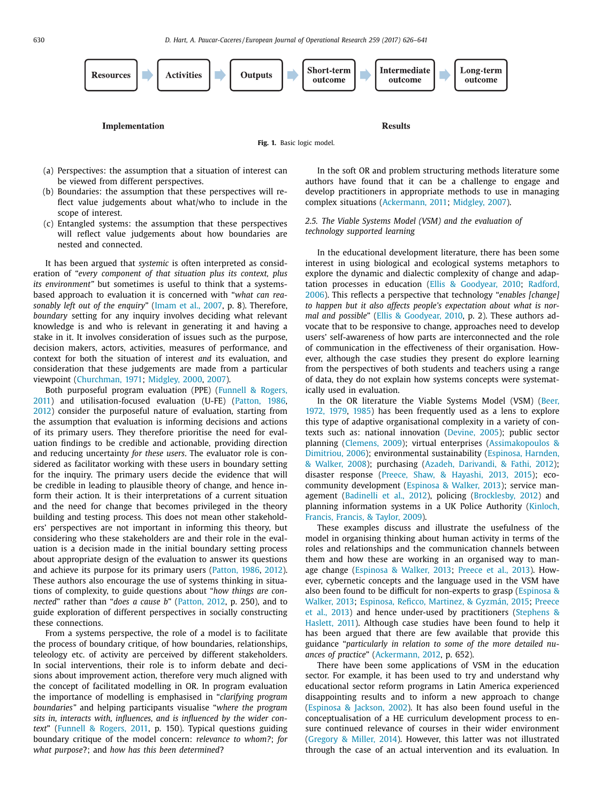<span id="page-4-0"></span>

**Fig. 1.** Basic logic model.

- (a) Perspectives: the assumption that a situation of interest can be viewed from different perspectives.
- (b) Boundaries: the assumption that these perspectives will reflect value judgements about what/who to include in the scope of interest.
- (c) Entangled systems: the assumption that these perspectives will reflect value judgements about how boundaries are nested and connected.

It has been argued that *systemic* is often interpreted as consideration of "*every component of that situation plus its context, plus its environment"* but sometimes is useful to think that a systemsbased approach to evaluation it is concerned with "*what can reasonably left out of the enquiry*" [\(Imam](#page-14-0) et al., 2007, p. 8). Therefore, *boundary* setting for any inquiry involves deciding what relevant knowledge is and who is relevant in generating it and having a stake in it. It involves consideration of issues such as the purpose, decision makers, actors, activities, measures of performance, and context for both the situation of interest *and* its evaluation, and consideration that these judgements are made from a particular viewpoint [\(Churchman,](#page-14-0) 1971; [Midgley,](#page-14-0) 2000, [2007\)](#page-14-0).

Both purposeful program evaluation (PPE) (Funnell & Rogers, 2011) and [utilisation-focused](#page-14-0) evaluation (U-FE) [\(Patton,](#page-14-0) 1986, [2012\)](#page-14-0) consider the purposeful nature of evaluation, starting from the assumption that evaluation is informing decisions and actions of its primary users. They therefore prioritise the need for evaluation findings to be credible and actionable, providing direction and reducing uncertainty *for these users*. The evaluator role is considered as facilitator working with these users in boundary setting for the inquiry. The primary users decide the evidence that will be credible in leading to plausible theory of change, and hence inform their action. It is their interpretations of a current situation and the need for change that becomes privileged in the theory building and testing process. This does not mean other stakeholders' perspectives are not important in informing this theory, but considering who these stakeholders are and their role in the evaluation is a decision made in the initial boundary setting process about appropriate design of the evaluation to answer its questions and achieve its purpose for its primary users [\(Patton,](#page-14-0) 1986, [2012\)](#page-14-0). These authors also encourage the use of systems thinking in situations of complexity, to guide questions about "*how things are connected*" rather than "*does a cause b*" [\(Patton,](#page-14-0) 2012, p. 250), and to guide exploration of different perspectives in socially constructing these connections.

From a systems perspective, the role of a model is to facilitate the process of boundary critique, of how boundaries, relationships, teleology etc. of activity are perceived by different stakeholders. In social interventions, their role is to inform debate and decisions about improvement action, therefore very much aligned with the concept of facilitated modelling in OR. In program evaluation the importance of modelling is emphasised in "*clarifying program boundaries"* and helping participants visualise "*where the program sits in, interacts with, influences, and is influenced by the wider context*" [\(Funnell](#page-14-0) & Rogers, 2011, p. 150). Typical questions guiding boundary critique of the model concern: *relevance to whom?*; *for what purpose*?; and *how has this been determined*?

In the soft OR and problem structuring methods literature some authors have found that it can be a challenge to engage and develop practitioners in appropriate methods to use in managing complex situations [\(Ackermann,](#page-13-0) 2011; [Midgley,](#page-14-0) 2007).

# *2.5. The Viable Systems Model (VSM) and the evaluation of technology supported learning*

In the educational development literature, there has been some interest in using biological and ecological systems metaphors to explore the dynamic and dialectic complexity of change and adaptation processes in education (Ellis & [Goodyear,](#page-14-0) 2010; Radford, 2006). This reflects a [perspective](#page-15-0) that technology "*enables [change] to happen but it also affects people's expectation about what is normal and possible*" (Ellis & [Goodyear,](#page-14-0) 2010, p. 2). These authors advocate that to be responsive to change, approaches need to develop users' self-awareness of how parts are interconnected and the role of communication in the effectiveness of their organisation. However, although the case studies they present do explore learning from the perspectives of both students and teachers using a range of data, they do not explain how systems concepts were systematically used in evaluation.

In the OR literature the Viable Systems Model (VSM) (Beer, 1972, 1979, [1985\)](#page-13-0) has been [frequently](#page-13-0) used as a lens to explore this type of adaptive organisational complexity in a variety of contexts such as: national innovation [\(Devine,](#page-14-0) 2005); public sector planning [\(Clemens,](#page-14-0) 2009); virtual enterprises [\(Assimakopoulos](#page-13-0) & Dimitriou, 2006); [environmental](#page-14-0) sustainability (Espinosa, Harnden, & Walker, 2008); purchasing (Azadeh, [Darivandi,](#page-13-0) & Fathi, 2012); disaster response (Preece, Shaw, & [Hayashi,](#page-14-0) 2013, 2015); ecocommunity development [\(Espinosa](#page-14-0) & Walker, 2013); service management [\(Badinelli](#page-13-0) et al., 2012), policing [\(Brocklesby,](#page-13-0) 2012) and planning [information](#page-14-0) systems in a UK Police Authority (Kinloch, Francis, Francis, & Taylor, 2009).

These examples discuss and illustrate the usefulness of the model in organising thinking about human activity in terms of the roles and relationships and the communication channels between them and how these are working in an organised way to manage change [\(Espinosa](#page-14-0) & Walker, 2013; [Preece](#page-14-0) et al., 2013). However, cybernetic concepts and the language used in the VSM have also been found to be difficult for [non-experts](#page-14-0) to grasp (Espinosa & Walker, 2013; Espinosa, Reficco, [Martinez,](#page-14-0) & Gyzmán, 2015; Preece et al., 2013) and hence under-used by [practitioners](#page-14-0) (Stephens & Haslett, 2011). Although case studies have been found to help it has been argued that there are few available that provide this guidance "*particularly in relation to some of the more detailed nuances of practice*" [\(Ackermann,](#page-13-0) 2012, p. 652).

There have been some applications of VSM in the education sector. For example, it has been used to try and understand why educational sector reform programs in Latin America experienced disappointing results and to inform a new approach to change [\(Espinosa](#page-14-0) & Jackson, 2002). It has also been found useful in the conceptualisation of a HE curriculum development process to ensure continued relevance of courses in their wider environment [\(Gregory](#page-14-0) & Miller, 2014). However, this latter was not illustrated through the case of an actual intervention and its evaluation. In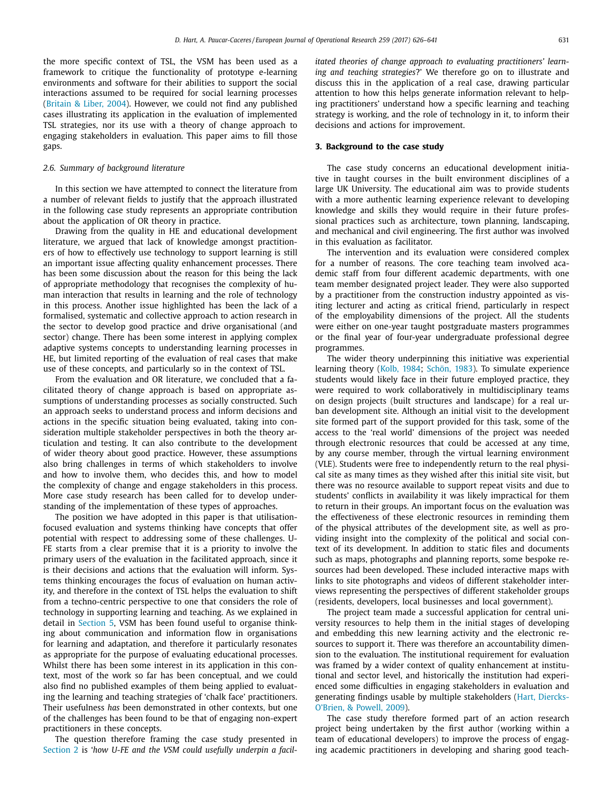<span id="page-5-0"></span>the more specific context of TSL, the VSM has been used as a framework to critique the functionality of prototype e-learning environments and software for their abilities to support the social interactions assumed to be required for social learning processes [\(Britain](#page-13-0) & Liber, 2004). However, we could not find any published cases illustrating its application in the evaluation of implemented TSL strategies, nor its use with a theory of change approach to engaging stakeholders in evaluation. This paper aims to fill those gaps.

#### *2.6. Summary of background literature*

In this section we have attempted to connect the literature from a number of relevant fields to justify that the approach illustrated in the following case study represents an appropriate contribution about the application of OR theory in practice.

Drawing from the quality in HE and educational development literature, we argued that lack of knowledge amongst practitioners of how to effectively use technology to support learning is still an important issue affecting quality enhancement processes. There has been some discussion about the reason for this being the lack of appropriate methodology that recognises the complexity of human interaction that results in learning and the role of technology in this process. Another issue highlighted has been the lack of a formalised, systematic and collective approach to action research in the sector to develop good practice and drive organisational (and sector) change. There has been some interest in applying complex adaptive systems concepts to understanding learning processes in HE, but limited reporting of the evaluation of real cases that make use of these concepts, and particularly so in the context of TSL.

From the evaluation and OR literature, we concluded that a facilitated theory of change approach is based on appropriate assumptions of understanding processes as socially constructed. Such an approach seeks to understand process and inform decisions and actions in the specific situation being evaluated, taking into consideration multiple stakeholder perspectives in both the theory articulation and testing. It can also contribute to the development of wider theory about good practice. However, these assumptions also bring challenges in terms of which stakeholders to involve and how to involve them, who decides this, and how to model the complexity of change and engage stakeholders in this process. More case study research has been called for to develop understanding of the implementation of these types of approaches.

The position we have adopted in this paper is that utilisationfocused evaluation and systems thinking have concepts that offer potential with respect to addressing some of these challenges. U-FE starts from a clear premise that it is a priority to involve the primary users of the evaluation in the facilitated approach, since it is their decisions and actions that the evaluation will inform. Systems thinking encourages the focus of evaluation on human activity, and therefore in the context of TSL helps the evaluation to shift from a techno-centric perspective to one that considers the role of technology in supporting learning and teaching. As we explained in detail in [Section](#page-7-0) 5, VSM has been found useful to organise thinking about communication and information flow in organisations for learning and adaptation, and therefore it particularly resonates as appropriate for the purpose of evaluating educational processes. Whilst there has been some interest in its application in this context, most of the work so far has been conceptual, and we could also find no published examples of them being applied to evaluating the learning and teaching strategies of 'chalk face' practitioners. Their usefulness *has* been demonstrated in other contexts, but one of the challenges has been found to be that of engaging non-expert practitioners in these concepts.

The question therefore framing the case study presented in [Section](#page-1-0) 2 is '*how U-FE and the VSM could usefully underpin a facil-* *itated theories of change approach to evaluating practitioners' learning and teaching strategies*?' We therefore go on to illustrate and discuss this in the application of a real case, drawing particular attention to how this helps generate information relevant to helping practitioners' understand how a specific learning and teaching strategy is working, and the role of technology in it, to inform their decisions and actions for improvement.

#### **3. Background to the case study**

The case study concerns an educational development initiative in taught courses in the built environment disciplines of a large UK University. The educational aim was to provide students with a more authentic learning experience relevant to developing knowledge and skills they would require in their future professional practices such as architecture, town planning, landscaping, and mechanical and civil engineering. The first author was involved in this evaluation as facilitator.

The intervention and its evaluation were considered complex for a number of reasons. The core teaching team involved academic staff from four different academic departments, with one team member designated project leader. They were also supported by a practitioner from the construction industry appointed as visiting lecturer and acting as critical friend, particularly in respect of the employability dimensions of the project. All the students were either on one-year taught postgraduate masters programmes or the final year of four-year undergraduate professional degree programmes.

The wider theory underpinning this initiative was experiential learning theory [\(Kolb,](#page-14-0) 1984; [Schön,](#page-15-0) 1983). To simulate experience students would likely face in their future employed practice, they were required to work collaboratively in multidisciplinary teams on design projects (built structures and landscape) for a real urban development site. Although an initial visit to the development site formed part of the support provided for this task, some of the access to the 'real world' dimensions of the project was needed through electronic resources that could be accessed at any time, by any course member, through the virtual learning environment (VLE). Students were free to independently return to the real physical site as many times as they wished after this initial site visit, but there was no resource available to support repeat visits and due to students' conflicts in availability it was likely impractical for them to return in their groups. An important focus on the evaluation was the effectiveness of these electronic resources in reminding them of the physical attributes of the development site, as well as providing insight into the complexity of the political and social context of its development. In addition to static files and documents such as maps, photographs and planning reports, some bespoke resources had been developed. These included interactive maps with links to site photographs and videos of different stakeholder interviews representing the perspectives of different stakeholder groups (residents, developers, local businesses and local government).

The project team made a successful application for central university resources to help them in the initial stages of developing and embedding this new learning activity and the electronic resources to support it. There was therefore an accountability dimension to the evaluation. The institutional requirement for evaluation was framed by a wider context of quality enhancement at institutional and sector level, and historically the institution had experienced some difficulties in engaging stakeholders in evaluation and generating findings usable by multiple [stakeholders](#page-14-0) (Hart, Diercks-O'Brien, & Powell, 2009).

The case study therefore formed part of an action research project being undertaken by the first author (working within a team of educational developers) to improve the process of engaging academic practitioners in developing and sharing good teach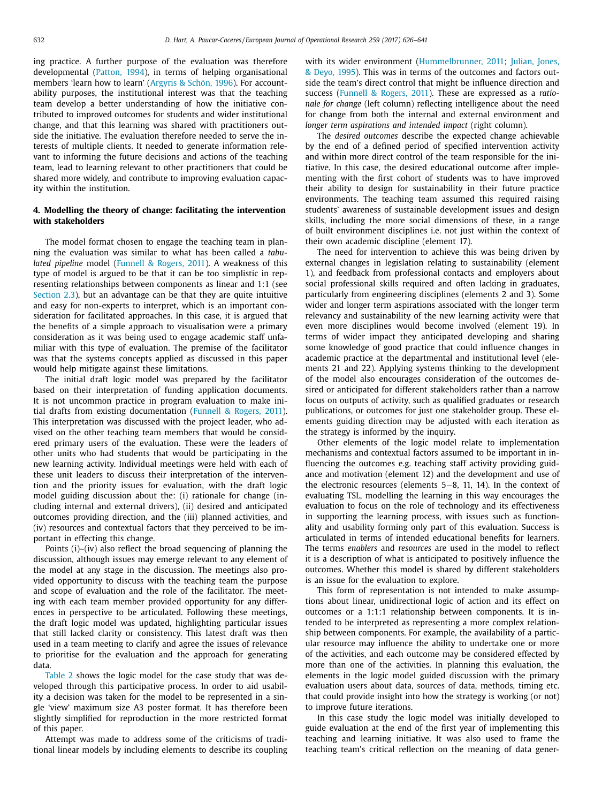<span id="page-6-0"></span>ing practice. A further purpose of the evaluation was therefore developmental [\(Patton,](#page-14-0) 1994), in terms of helping organisational members 'learn how to learn' [\(Argyris](#page-13-0) & Schön, 1996). For accountability purposes, the institutional interest was that the teaching team develop a better understanding of how the initiative contributed to improved outcomes for students and wider institutional change, and that this learning was shared with practitioners outside the initiative. The evaluation therefore needed to serve the interests of multiple clients. It needed to generate information relevant to informing the future decisions and actions of the teaching team, lead to learning relevant to other practitioners that could be shared more widely, and contribute to improving evaluation capacity within the institution.

# **4. Modelling the theory of change: facilitating the intervention with stakeholders**

The model format chosen to engage the teaching team in planning the evaluation was similar to what has been called a *tabulated pipeline* model [\(Funnell](#page-14-0) & Rogers, 2011). A weakness of this type of model is argued to be that it can be too simplistic in representing relationships between components as linear and 1:1 (see [Section](#page-2-0) 2.3), but an advantage can be that they are quite intuitive and easy for non-experts to interpret, which is an important consideration for facilitated approaches. In this case, it is argued that the benefits of a simple approach to visualisation were a primary consideration as it was being used to engage academic staff unfamiliar with this type of evaluation. The premise of the facilitator was that the systems concepts applied as discussed in this paper would help mitigate against these limitations.

The initial draft logic model was prepared by the facilitator based on their interpretation of funding application documents. It is not uncommon practice in program evaluation to make initial drafts from existing documentation [\(Funnell](#page-14-0) & Rogers, 2011). This interpretation was discussed with the project leader, who advised on the other teaching team members that would be considered primary users of the evaluation. These were the leaders of other units who had students that would be participating in the new learning activity. Individual meetings were held with each of these unit leaders to discuss their interpretation of the intervention and the priority issues for evaluation, with the draft logic model guiding discussion about the: (i) rationale for change (including internal and external drivers), (ii) desired and anticipated outcomes providing direction, and the (iii) planned activities, and (iv) resources and contextual factors that they perceived to be important in effecting this change.

Points (i)–(iv) also reflect the broad sequencing of planning the discussion, although issues may emerge relevant to any element of the model at any stage in the discussion. The meetings also provided opportunity to discuss with the teaching team the purpose and scope of evaluation and the role of the facilitator. The meeting with each team member provided opportunity for any differences in perspective to be articulated. Following these meetings, the draft logic model was updated, highlighting particular issues that still lacked clarity or consistency. This latest draft was then used in a team meeting to clarify and agree the issues of relevance to prioritise for the evaluation and the approach for generating data.

[Table](#page-7-0) 2 shows the logic model for the case study that was developed through this participative process. In order to aid usability a decision was taken for the model to be represented in a single 'view' maximum size A3 poster format. It has therefore been slightly simplified for reproduction in the more restricted format of this paper.

Attempt was made to address some of the criticisms of traditional linear models by including elements to describe its coupling with its wider environment [\(Hummelbrunner,](#page-14-0) 2011; Julian, Jones, & Deyo, 1995). This was in terms of the outcomes and factors outside the team's direct control that might be influence direction and success [\(Funnell](#page-14-0) & Rogers, 2011). These are expressed as a *rationale for change* (left column) reflecting intelligence about the need for change from both the internal and external environment and *longer term aspirations and intended impact* (right column).

The *desired outcomes* describe the expected change achievable by the end of a defined period of specified intervention activity and within more direct control of the team responsible for the initiative. In this case, the desired educational outcome after implementing with the first cohort of students was to have improved their ability to design for sustainability in their future practice environments. The teaching team assumed this required raising students' awareness of sustainable development issues and design skills, including the more social dimensions of these, in a range of built environment disciplines i.e. not just within the context of their own academic discipline (element 17).

The need for intervention to achieve this was being driven by external changes in legislation relating to sustainability (element 1), and feedback from professional contacts and employers about social professional skills required and often lacking in graduates, particularly from engineering disciplines (elements 2 and 3). Some wider and longer term aspirations associated with the longer term relevancy and sustainability of the new learning activity were that even more disciplines would become involved (element 19). In terms of wider impact they anticipated developing and sharing some knowledge of good practice that could influence changes in academic practice at the departmental and institutional level (elements 21 and 22). Applying systems thinking to the development of the model also encourages consideration of the outcomes desired or anticipated for different stakeholders rather than a narrow focus on outputs of activity, such as qualified graduates or research publications, or outcomes for just one stakeholder group. These elements guiding direction may be adjusted with each iteration as the strategy is informed by the inquiry.

Other elements of the logic model relate to implementation mechanisms and contextual factors assumed to be important in influencing the outcomes e.g. teaching staff activity providing guidance and motivation (element 12) and the development and use of the electronic resources (elements 5−8, 11, 14). In the context of evaluating TSL, modelling the learning in this way encourages the evaluation to focus on the role of technology and its effectiveness in supporting the learning process, with issues such as functionality and usability forming only part of this evaluation. Success is articulated in terms of intended educational benefits for learners. The terms *enablers* and *resources* are used in the model to reflect it is a description of what is anticipated to positively influence the outcomes. Whether this model is shared by different stakeholders is an issue for the evaluation to explore.

This form of representation is not intended to make assumptions about linear, unidirectional logic of action and its effect on outcomes or a 1:1:1 relationship between components. It is intended to be interpreted as representing a more complex relationship between components. For example, the availability of a particular resource may influence the ability to undertake one or more of the activities, and each outcome may be considered effected by more than one of the activities. In planning this evaluation, the elements in the logic model guided discussion with the primary evaluation users about data, sources of data, methods, timing etc. that could provide insight into how the strategy is working (or not) to improve future iterations.

In this case study the logic model was initially developed to guide evaluation at the end of the first year of implementing this teaching and learning initiative. It was also used to frame the teaching team's critical reflection on the meaning of data gener-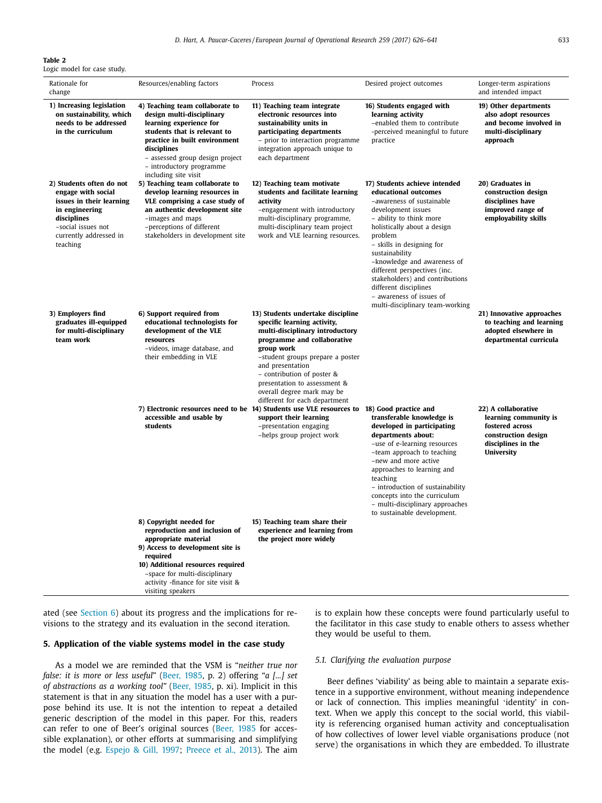#### <span id="page-7-0"></span>**Table 2**

Logic model for case study.

| Rationale for<br>change                                                                                                                                                 | Resources/enabling factors                                                                                                                                                                                                                                        | Process                                                                                                                                                                                                                                                                                                                               | Desired project outcomes                                                                                                                                                                                                                                                                                                                                                                                               | Longer-term aspirations<br>and intended impact                                                                                    |
|-------------------------------------------------------------------------------------------------------------------------------------------------------------------------|-------------------------------------------------------------------------------------------------------------------------------------------------------------------------------------------------------------------------------------------------------------------|---------------------------------------------------------------------------------------------------------------------------------------------------------------------------------------------------------------------------------------------------------------------------------------------------------------------------------------|------------------------------------------------------------------------------------------------------------------------------------------------------------------------------------------------------------------------------------------------------------------------------------------------------------------------------------------------------------------------------------------------------------------------|-----------------------------------------------------------------------------------------------------------------------------------|
| 1) Increasing legislation<br>on sustainability, which<br>needs to be addressed<br>in the curriculum                                                                     | 4) Teaching team collaborate to<br>design multi-disciplinary<br>learning experience for<br>students that is relevant to<br>practice in built environment<br>disciplines<br>- assessed group design project<br>- introductory programme<br>including site visit    | 11) Teaching team integrate<br>electronic resources into<br>sustainability units in<br>participating departments<br>- prior to interaction programme<br>integration approach unique to<br>each department                                                                                                                             | 16) Students engaged with<br>learning activity<br>-enabled them to contribute<br>-perceived meaningful to future<br>practice                                                                                                                                                                                                                                                                                           | 19) Other departments<br>also adopt resources<br>and become involved in<br>multi-disciplinary<br>approach                         |
| 2) Students often do not<br>engage with social<br>issues in their learning<br>in engineering<br>disciplines<br>-social issues not<br>currently addressed in<br>teaching | 5) Teaching team collaborate to<br>develop learning resources in<br>VLE comprising a case study of<br>an authentic development site<br>-images and maps<br>-perceptions of different<br>stakeholders in development site                                          | 12) Teaching team motivate<br>students and facilitate learning<br>activity<br>-engagement with introductory<br>multi-disciplinary programme,<br>multi-disciplinary team project<br>work and VLE learning resources.                                                                                                                   | 17) Students achieve intended<br>educational outcomes<br>-awareness of sustainable<br>development issues<br>- ability to think more<br>holistically about a design<br>problem<br>- skills in designing for<br>sustainability<br>-knowledge and awareness of<br>different perspectives (inc.<br>stakeholders) and contributions<br>different disciplines<br>- awareness of issues of<br>multi-disciplinary team-working | 20) Graduates in<br>construction design<br>disciplines have<br>improved range of<br>employability skills                          |
| 3) Employers find<br>graduates ill-equipped<br>for multi-disciplinary<br>team work                                                                                      | 6) Support required from<br>educational technologists for<br>development of the VLE<br>resources<br>-videos, image database, and<br>their embedding in VLE                                                                                                        | 13) Students undertake discipline<br>specific learning activity,<br>multi-disciplinary introductory<br>programme and collaborative<br>group work<br>-student groups prepare a poster<br>and presentation<br>- contribution of poster &<br>presentation to assessment &<br>overall degree mark may be<br>different for each department |                                                                                                                                                                                                                                                                                                                                                                                                                        | 21) Innovative approaches<br>to teaching and learning<br>adopted elsewhere in<br>departmental curricula                           |
|                                                                                                                                                                         | accessible and usable by<br>students                                                                                                                                                                                                                              | 7) Electronic resources need to be 14) Students use VLE resources to 18) Good practice and<br>support their learning<br>-presentation engaging<br>-helps group project work                                                                                                                                                           | transferable knowledge is<br>developed in participating<br>departments about:<br>-use of e-learning resources<br>-team approach to teaching<br>-new and more active<br>approaches to learning and<br>teaching<br>- introduction of sustainability<br>concepts into the curriculum<br>- multi-disciplinary approaches<br>to sustainable development.                                                                    | 22) A collaborative<br>learning community is<br>fostered across<br>construction design<br>disciplines in the<br><b>University</b> |
|                                                                                                                                                                         | 8) Copyright needed for<br>reproduction and inclusion of<br>appropriate material<br>9) Access to development site is<br>required<br>10) Additional resources required<br>-space for multi-disciplinary<br>activity -finance for site visit &<br>visiting speakers | 15) Teaching team share their<br>experience and learning from<br>the project more widely                                                                                                                                                                                                                                              |                                                                                                                                                                                                                                                                                                                                                                                                                        |                                                                                                                                   |

ated (see [Section](#page-10-0) 6) about its progress and the implications for revisions to the strategy and its evaluation in the second iteration.

# **5. Application of the viable systems model in the case study**

As a model we are reminded that the VSM is "*neither true nor false: it is more or less useful*" [\(Beer,](#page-13-0) 1985, p. 2) offering "*a [...] set of abstractions as a working tool"* (Beer, [1985,](#page-13-0) p. xi). Implicit in this statement is that in any situation the model has a user with a purpose behind its use. It is not the intention to repeat a detailed generic description of the model in this paper. For this, readers can refer to one of Beer's original sources [\(Beer,](#page-13-0) 1985 for accessible explanation), or other efforts at summarising and simplifying the model (e.g. [Espejo](#page-14-0) & Gill, 1997; [Preece](#page-14-0) et al., 2013). The aim

is to explain how these concepts were found particularly useful to the facilitator in this case study to enable others to assess whether they would be useful to them.

#### *5.1. Clarifying the evaluation purpose*

Beer defines 'viability' as being able to maintain a separate existence in a supportive environment, without meaning independence or lack of connection. This implies meaningful ʻidentity' in context. When we apply this concept to the social world, this viability is referencing organised human activity and conceptualisation of how collectives of lower level viable organisations produce (not serve) the organisations in which they are embedded. To illustrate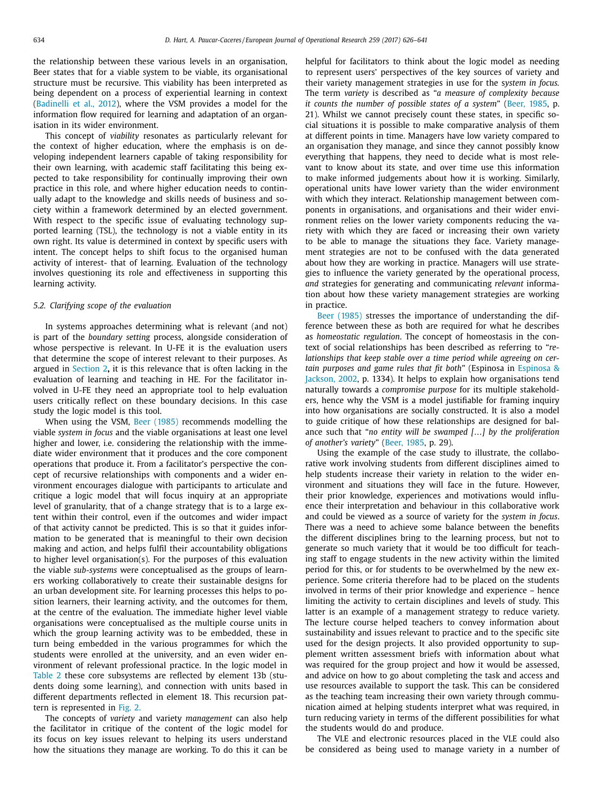<span id="page-8-0"></span>the relationship between these various levels in an organisation, Beer states that for a viable system to be viable, its organisational structure must be recursive. This viability has been interpreted as being dependent on a process of experiential learning in context [\(Badinelli](#page-13-0) et al., 2012), where the VSM provides a model for the information flow required for learning and adaptation of an organisation in its wider environment.

This concept of *viability* resonates as particularly relevant for the context of higher education, where the emphasis is on developing independent learners capable of taking responsibility for their own learning, with academic staff facilitating this being expected to take responsibility for continually improving their own practice in this role, and where higher education needs to continually adapt to the knowledge and skills needs of business and society within a framework determined by an elected government. With respect to the specific issue of evaluating technology supported learning (TSL), the technology is not a viable entity in its own right. Its value is determined in context by specific users with intent. The concept helps to shift focus to the organised human activity of interest- that of learning. Evaluation of the technology involves questioning its role and effectiveness in supporting this learning activity.

## *5.2. Clarifying scope of the evaluation*

In systems approaches determining what is relevant (and not) is part of the *boundary setting* process, alongside consideration of whose perspective is relevant. In U-FE it is the evaluation users that determine the scope of interest relevant to their purposes. As argued in [Section](#page-1-0) 2**,** it is this relevance that is often lacking in the evaluation of learning and teaching in HE. For the facilitator involved in U-FE they need an appropriate tool to help evaluation users critically reflect on these boundary decisions. In this case study the logic model is this tool.

When using the VSM, Beer [\(1985\)](#page-13-0) recommends modelling the viable *system in focus* and the viable organisations at least one level higher and lower, i.e. considering the relationship with the immediate wider environment that it produces and the core component operations that produce it. From a facilitator's perspective the concept of recursive relationships with components and a wider environment encourages dialogue with participants to articulate and critique a logic model that will focus inquiry at an appropriate level of granularity, that of a change strategy that is to a large extent within their control, even if the outcomes and wider impact of that activity cannot be predicted. This is so that it guides information to be generated that is meaningful to their own decision making and action, and helps fulfil their accountability obligations to higher level organisation(s). For the purposes of this evaluation the viable *sub-systems* were conceptualised as the groups of learners working collaboratively to create their sustainable designs for an urban development site. For learning processes this helps to position learners, their learning activity, and the outcomes for them, at the centre of the evaluation. The immediate higher level viable organisations were conceptualised as the multiple course units in which the group learning activity was to be embedded, these in turn being embedded in the various programmes for which the students were enrolled at the university, and an even wider environment of relevant professional practice. In the logic model in [Table](#page-7-0) 2 these core subsystems are reflected by element 13b (students doing some learning), and connection with units based in different departments reflected in element 18. This recursion pattern is represented in [Fig.](#page-9-0) 2.

The concepts of *variety* and variety *management* can also help the facilitator in critique of the content of the logic model for its focus on key issues relevant to helping its users understand how the situations they manage are working. To do this it can be helpful for facilitators to think about the logic model as needing to represent users' perspectives of the key sources of variety and their variety management strategies in use for the s*ystem in focus.* The term *variety* is described as "*a measure of complexity because it counts the number of possible states of a system*" (Beer, [1985,](#page-13-0) p. 21). Whilst we cannot precisely count these states, in specific social situations it is possible to make comparative analysis of them at different points in time. Managers have low variety compared to an organisation they manage, and since they cannot possibly know everything that happens, they need to decide what is most relevant to know about its state, and over time use this information to make informed judgements about how it is working. Similarly, operational units have lower variety than the wider environment with which they interact. Relationship management between components in organisations, and organisations and their wider environment relies on the lower variety components reducing the variety with which they are faced or increasing their own variety to be able to manage the situations they face. Variety management strategies are not to be confused with the data generated about how they are working in practice. Managers will use strategies to influence the variety generated by the operational process, *and* strategies for generating and communicating *relevant* information about how these variety management strategies are working in practice.

Beer [\(1985\)](#page-13-0) stresses the importance of understanding the difference between these as both are required for what he describes as *homeostatic regulation*. The concept of homeostasis in the context of social relationships has been described as referring to "*relationships that keep stable over a time period while agreeing on certain purposes and game rules that fit both*" (Espinosa in Espinosa & Jackson, 2002, p. 1334). It helps to explain how [organisations](#page-14-0) tend naturally towards a *compromise purpose* for its multiple stakeholders, hence why the VSM is a model justifiable for framing inquiry into how organisations are socially constructed. It is also a model to guide critique of how these relationships are designed for balance such that "*no entity will be swamped […] by the proliferation of another's variety*" (Beer, [1985,](#page-13-0) p. 29).

Using the example of the case study to illustrate, the collaborative work involving students from different disciplines aimed to help students increase their variety in relation to the wider environment and situations they will face in the future. However, their prior knowledge, experiences and motivations would influence their interpretation and behaviour in this collaborative work and could be viewed as a source of variety for the *system in focus*. There was a need to achieve some balance between the benefits the different disciplines bring to the learning process, but not to generate so much variety that it would be too difficult for teaching staff to engage students in the new activity within the limited period for this, or for students to be overwhelmed by the new experience. Some criteria therefore had to be placed on the students involved in terms of their prior knowledge and experience – hence limiting the activity to certain disciplines and levels of study. This latter is an example of a management strategy to reduce variety. The lecture course helped teachers to convey information about sustainability and issues relevant to practice and to the specific site used for the design projects. It also provided opportunity to supplement written assessment briefs with information about what was required for the group project and how it would be assessed, and advice on how to go about completing the task and access and use resources available to support the task. This can be considered as the teaching team increasing their own variety through communication aimed at helping students interpret what was required, in turn reducing variety in terms of the different possibilities for what the students would do and produce.

The VLE and electronic resources placed in the VLE could also be considered as being used to manage variety in a number of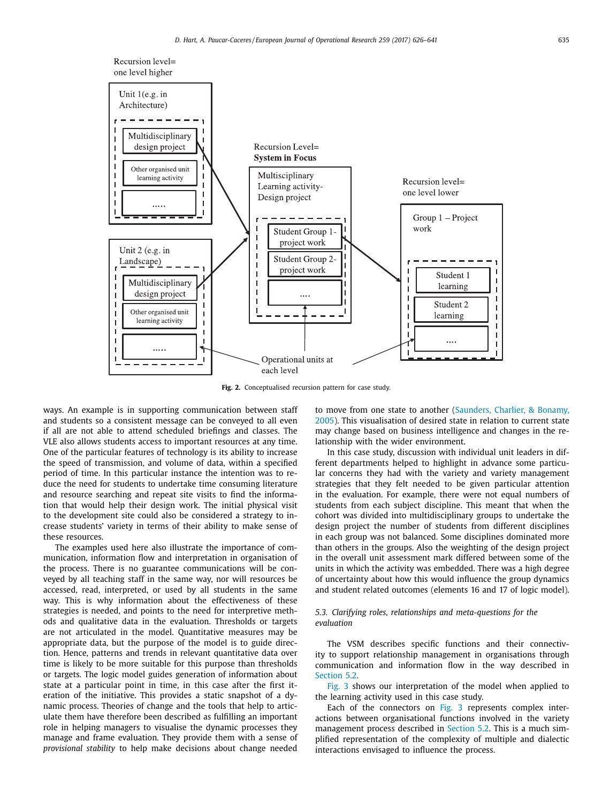<span id="page-9-0"></span>

**Fig. 2.** Conceptualised recursion pattern for case study.

ways. An example is in supporting communication between staff and students so a consistent message can be conveyed to all even if all are not able to attend scheduled briefings and classes. The VLE also allows students access to important resources at any time. One of the particular features of technology is its ability to increase the speed of transmission, and volume of data, within a specified period of time. In this particular instance the intention was to reduce the need for students to undertake time consuming literature and resource searching and repeat site visits to find the information that would help their design work. The initial physical visit to the development site could also be considered a strategy to increase students' variety in terms of their ability to make sense of these resources.

The examples used here also illustrate the importance of communication, information flow and interpretation in organisation of the process. There is no guarantee communications will be conveyed by all teaching staff in the same way, nor will resources be accessed, read, interpreted, or used by all students in the same way. This is why information about the effectiveness of these strategies is needed, and points to the need for interpretive methods and qualitative data in the evaluation. Thresholds or targets are not articulated in the model. Quantitative measures may be appropriate data, but the purpose of the model is to guide direction. Hence, patterns and trends in relevant quantitative data over time is likely to be more suitable for this purpose than thresholds or targets. The logic model guides generation of information about state at a particular point in time, in this case after the first iteration of the initiative. This provides a static snapshot of a dynamic process. Theories of change and the tools that help to articulate them have therefore been described as fulfilling an important role in helping managers to visualise the dynamic processes they manage and frame evaluation. They provide them with a sense of *provisional stability* to help make decisions about change needed

to move from one state to another (Saunders, Charlier, & Bonamy, 2005). This [visualisation](#page-15-0) of desired state in relation to current state may change based on business intelligence and changes in the relationship with the wider environment.

In this case study, discussion with individual unit leaders in different departments helped to highlight in advance some particular concerns they had with the variety and variety management strategies that they felt needed to be given particular attention in the evaluation. For example, there were not equal numbers of students from each subject discipline. This meant that when the cohort was divided into multidisciplinary groups to undertake the design project the number of students from different disciplines in each group was not balanced. Some disciplines dominated more than others in the groups. Also the weighting of the design project in the overall unit assessment mark differed between some of the units in which the activity was embedded. There was a high degree of uncertainty about how this would influence the group dynamics and student related outcomes (elements 16 and 17 of logic model).

## *5.3. Clarifying roles, relationships and meta-questions for the evaluation*

The VSM describes specific functions and their connectivity to support relationship management in organisations through communication and information flow in the way described in [Section](#page-8-0) 5.2.

[Fig.](#page-10-0) 3 shows our interpretation of the model when applied to the learning activity used in this case study.

Each of the connectors on [Fig.](#page-10-0) 3 represents complex interactions between organisational functions involved in the variety management process described in [Section](#page-8-0) 5.2. This is a much simplified representation of the complexity of multiple and dialectic interactions envisaged to influence the process.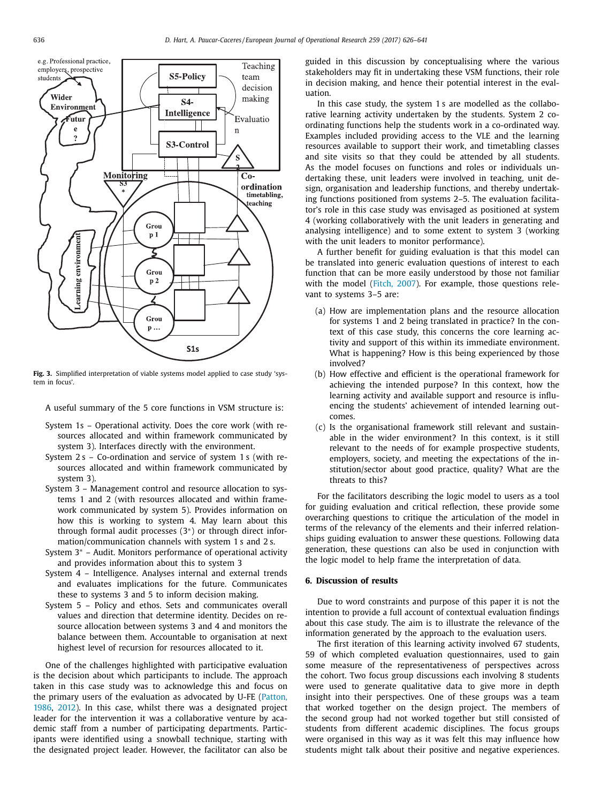<span id="page-10-0"></span>

**Fig. 3.** Simplified interpretation of viable systems model applied to case study 'system in focus'.

A useful summary of the 5 core functions in VSM structure is:

- System 1s Operational activity. Does the core work (with resources allocated and within framework communicated by system 3). Interfaces directly with the environment.
- System 2 s Co-ordination and service of system 1 s (with resources allocated and within framework communicated by system 3).
- System 3 Management control and resource allocation to systems 1 and 2 (with resources allocated and within framework communicated by system 5). Provides information on how this is working to system 4. May learn about this through formal audit processes (3∗) or through direct information/communication channels with system 1 s and 2 s.
- System 3∗ Audit. Monitors performance of operational activity and provides information about this to system 3
- System 4 Intelligence. Analyses internal and external trends and evaluates implications for the future. Communicates these to systems 3 and 5 to inform decision making.
- System 5 Policy and ethos. Sets and communicates overall values and direction that determine identity. Decides on resource allocation between systems 3 and 4 and monitors the balance between them. Accountable to organisation at next highest level of recursion for resources allocated to it.

One of the challenges highlighted with participative evaluation is the decision about which participants to include. The approach taken in this case study was to acknowledge this and focus on the primary users of the evaluation as advocated by U-FE (Patton, 1986, [2012\)](#page-14-0). In this case, whilst there was a [designated](#page-14-0) project leader for the intervention it was a collaborative venture by academic staff from a number of participating departments. Participants were identified using a snowball technique, starting with the designated project leader. However, the facilitator can also be guided in this discussion by conceptualising where the various stakeholders may fit in undertaking these VSM functions, their role in decision making, and hence their potential interest in the evaluation.

In this case study, the system 1 s are modelled as the collaborative learning activity undertaken by the students. System 2 coordinating functions help the students work in a co-ordinated way. Examples included providing access to the VLE and the learning resources available to support their work, and timetabling classes and site visits so that they could be attended by all students. As the model focuses on functions and roles or individuals undertaking these, unit leaders were involved in teaching, unit design, organisation and leadership functions, and thereby undertaking functions positioned from systems 2–5. The evaluation facilitator's role in this case study was envisaged as positioned at system 4 (working collaboratively with the unit leaders in generating and analysing intelligence) and to some extent to system 3 (working with the unit leaders to monitor performance).

A further benefit for guiding evaluation is that this model can be translated into generic evaluation questions of interest to each function that can be more easily understood by those not familiar with the model [\(Fitch,](#page-14-0) 2007). For example, those questions relevant to systems 3–5 are:

- (a) How are implementation plans and the resource allocation for systems 1 and 2 being translated in practice? In the context of this case study, this concerns the core learning activity and support of this within its immediate environment. What is happening? How is this being experienced by those involved?
- (b) How effective and efficient is the operational framework for achieving the intended purpose? In this context, how the learning activity and available support and resource is influencing the students' achievement of intended learning outcomes.
- (c) Is the organisational framework still relevant and sustainable in the wider environment? In this context, is it still relevant to the needs of for example prospective students, employers, society, and meeting the expectations of the institution/sector about good practice, quality? What are the threats to this?

For the facilitators describing the logic model to users as a tool for guiding evaluation and critical reflection, these provide some overarching questions to critique the articulation of the model in terms of the relevancy of the elements and their inferred relationships guiding evaluation to answer these questions. Following data generation, these questions can also be used in conjunction with the logic model to help frame the interpretation of data.

# **6. Discussion of results**

Due to word constraints and purpose of this paper it is not the intention to provide a full account of contextual evaluation findings about this case study. The aim is to illustrate the relevance of the information generated by the approach to the evaluation users.

The first iteration of this learning activity involved 67 students, 59 of which completed evaluation questionnaires, used to gain some measure of the representativeness of perspectives across the cohort. Two focus group discussions each involving 8 students were used to generate qualitative data to give more in depth insight into their perspectives. One of these groups was a team that worked together on the design project. The members of the second group had not worked together but still consisted of students from different academic disciplines. The focus groups were organised in this way as it was felt this may influence how students might talk about their positive and negative experiences.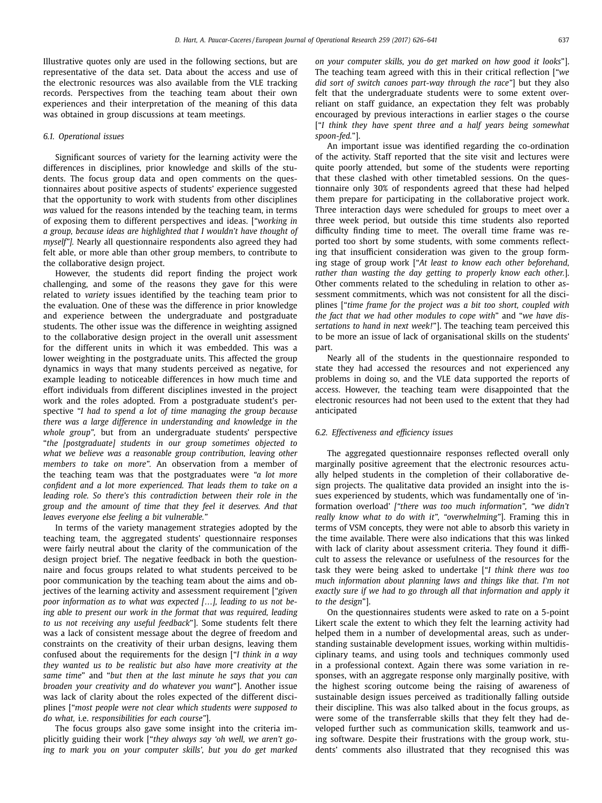Illustrative quotes only are used in the following sections, but are representative of the data set. Data about the access and use of the electronic resources was also available from the VLE tracking records. Perspectives from the teaching team about their own experiences and their interpretation of the meaning of this data was obtained in group discussions at team meetings.

#### *6.1. Operational issues*

Significant sources of variety for the learning activity were the differences in disciplines, prior knowledge and skills of the students. The focus group data and open comments on the questionnaires about positive aspects of students' experience suggested that the opportunity to work with students from other disciplines *was* valued for the reasons intended by the teaching team, in terms of exposing them to different perspectives and ideas. ["*working in a group, because ideas are highlighted that I wouldn't have thought of myself"].* Nearly all questionnaire respondents also agreed they had felt able, or more able than other group members, to contribute to the collaborative design project.

However, the students did report finding the project work challenging, and some of the reasons they gave for this were related to *variety* issues identified by the teaching team prior to the evaluation. One of these was the difference in prior knowledge and experience between the undergraduate and postgraduate students. The other issue was the difference in weighting assigned to the collaborative design project in the overall unit assessment for the different units in which it was embedded. This was a lower weighting in the postgraduate units. This affected the group dynamics in ways that many students perceived as negative, for example leading to noticeable differences in how much time and effort individuals from different disciplines invested in the project work and the roles adopted. From a postgraduate student's perspective "*I had to spend a lot of time managing the group because there was a large difference in understanding and knowledge in the whole group",* but from an undergraduate students' perspective "*the [postgraduate] students in our group sometimes objected to what we believe was a reasonable group contribution, leaving other members to take on more".* An observation from a member of the teaching team was that the postgraduates were *"a lot more confident and a lot more experienced. That leads them to take on a leading role. So there's this contradiction between their role in the group and the amount of time that they feel it deserves. And that leaves everyone else feeling a bit vulnerable."*

In terms of the variety management strategies adopted by the teaching team, the aggregated students' questionnaire responses were fairly neutral about the clarity of the communication of the design project brief. The negative feedback in both the questionnaire and focus groups related to what students perceived to be poor communication by the teaching team about the aims and objectives of the learning activity and assessment requirement ["*given poor information as to what was expected […], leading to us not being able to present our work in the format that was required, leading to us not receiving any useful feedback*"]. Some students felt there was a lack of consistent message about the degree of freedom and constraints on the creativity of their urban designs, leaving them confused about the requirements for the design ["*I think in a way they wanted us to be realistic but also have more creativity at the same time*" and "*but then at the last minute he says that you can broaden your creativity and do whatever you want*"]. Another issue was lack of clarity about the roles expected of the different disciplines ["*most people were not clear which students were supposed to do what,* i.e. *responsibilities for each course"*].

The focus groups also gave some insight into the criteria implicitly guiding their work ["*they always say 'oh well, we aren't going to mark you on your computer skills', but you do get marked* *on your computer skills, you do get marked on how good it looks*"]. The teaching team agreed with this in their critical reflection ["*we did sort of switch canoes part-way through the race"*] but they also felt that the undergraduate students were to some extent overreliant on staff guidance, an expectation they felt was probably encouraged by previous interactions in earlier stages o the course ["*I think they have spent three and a half years being somewhat spoon-fed.*"].

An important issue was identified regarding the co-ordination of the activity. Staff reported that the site visit and lectures were quite poorly attended, but some of the students were reporting that these clashed with other timetabled sessions. On the questionnaire only 30% of respondents agreed that these had helped them prepare for participating in the collaborative project work. Three interaction days were scheduled for groups to meet over a three week period, but outside this time students also reported difficulty finding time to meet. The overall time frame was reported too short by some students, with some comments reflecting that insufficient consideration was given to the group forming stage of group work ["*At least to know each other beforehand, rather than wasting the day getting to properly know each other.*]. Other comments related to the scheduling in relation to other assessment commitments, which was not consistent for all the disciplines ["*time frame for the project was a bit too short, coupled with the fact that we had other modules to cope with*" and "*we have dissertations to hand in next week!*"]. The teaching team perceived this to be more an issue of lack of organisational skills on the students' part.

Nearly all of the students in the questionnaire responded to state they had accessed the resources and not experienced any problems in doing so, and the VLE data supported the reports of access. However, the teaching team were disappointed that the electronic resources had not been used to the extent that they had anticipated

# *6.2. Effectiveness and efficiency issues*

The aggregated questionnaire responses reflected overall only marginally positive agreement that the electronic resources actually helped students in the completion of their collaborative design projects. The qualitative data provided an insight into the issues experienced by students, which was fundamentally one of 'information overload' *["there was too much information", "we didn't really know what to do with it", "overwhelming"*]. Framing this in terms of VSM concepts, they were not able to absorb this variety in the time available. There were also indications that this was linked with lack of clarity about assessment criteria. They found it difficult to assess the relevance or usefulness of the resources for the task they were being asked to undertake ["*I think there was too much information about planning laws and things like that. I'm not exactly sure if we had to go through all that information and apply it to the design*"].

On the questionnaires students were asked to rate on a 5-point Likert scale the extent to which they felt the learning activity had helped them in a number of developmental areas, such as understanding sustainable development issues, working within multidisciplinary teams, and using tools and techniques commonly used in a professional context. Again there was some variation in responses, with an aggregate response only marginally positive, with the highest scoring outcome being the raising of awareness of sustainable design issues perceived as traditionally falling outside their discipline. This was also talked about in the focus groups, as were some of the transferrable skills that they felt they had developed further such as communication skills, teamwork and using software. Despite their frustrations with the group work, students' comments also illustrated that they recognised this was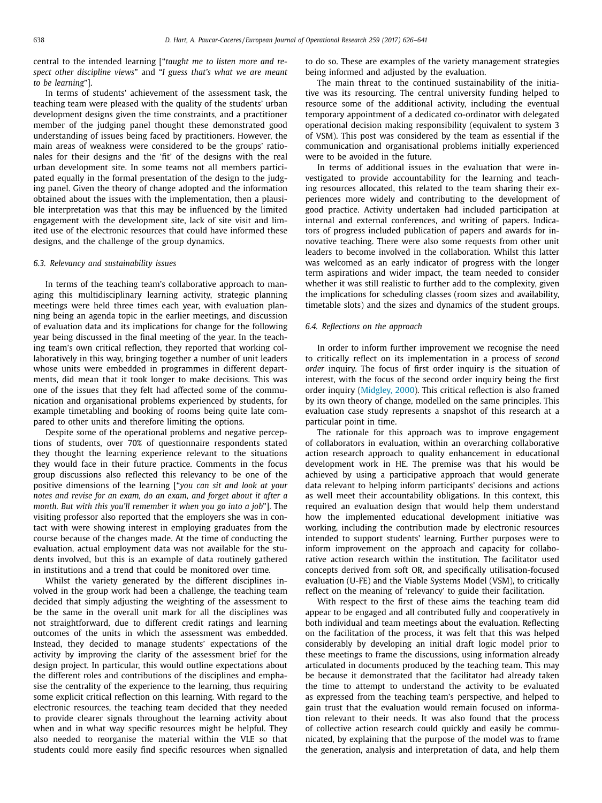central to the intended learning ["*taught me to listen more and respect other discipline views*" and "*I guess that's what we are meant to be learning*"].

In terms of students' achievement of the assessment task, the teaching team were pleased with the quality of the students' urban development designs given the time constraints, and a practitioner member of the judging panel thought these demonstrated good understanding of issues being faced by practitioners. However, the main areas of weakness were considered to be the groups' rationales for their designs and the 'fit' of the designs with the real urban development site. In some teams not all members participated equally in the formal presentation of the design to the judging panel. Given the theory of change adopted and the information obtained about the issues with the implementation, then a plausible interpretation was that this may be influenced by the limited engagement with the development site, lack of site visit and limited use of the electronic resources that could have informed these designs, and the challenge of the group dynamics.

#### *6.3. Relevancy and sustainability issues*

In terms of the teaching team's collaborative approach to managing this multidisciplinary learning activity, strategic planning meetings were held three times each year, with evaluation planning being an agenda topic in the earlier meetings, and discussion of evaluation data and its implications for change for the following year being discussed in the final meeting of the year. In the teaching team's own critical reflection, they reported that working collaboratively in this way, bringing together a number of unit leaders whose units were embedded in programmes in different departments, did mean that it took longer to make decisions. This was one of the issues that they felt had affected some of the communication and organisational problems experienced by students, for example timetabling and booking of rooms being quite late compared to other units and therefore limiting the options.

Despite some of the operational problems and negative perceptions of students, over 70% of questionnaire respondents stated they thought the learning experience relevant to the situations they would face in their future practice. Comments in the focus group discussions also reflected this relevancy to be one of the positive dimensions of the learning ["*you can sit and look at your notes and revise for an exam, do an exam, and forget about it after a month. But with this you'll remember it when you go into a job*"]. The visiting professor also reported that the employers she was in contact with were showing interest in employing graduates from the course because of the changes made. At the time of conducting the evaluation, actual employment data was not available for the students involved, but this is an example of data routinely gathered in institutions and a trend that could be monitored over time.

Whilst the variety generated by the different disciplines involved in the group work had been a challenge, the teaching team decided that simply adjusting the weighting of the assessment to be the same in the overall unit mark for all the disciplines was not straightforward, due to different credit ratings and learning outcomes of the units in which the assessment was embedded. Instead, they decided to manage students' expectations of the activity by improving the clarity of the assessment brief for the design project. In particular, this would outline expectations about the different roles and contributions of the disciplines and emphasise the centrality of the experience to the learning, thus requiring some explicit critical reflection on this learning. With regard to the electronic resources, the teaching team decided that they needed to provide clearer signals throughout the learning activity about when and in what way specific resources might be helpful. They also needed to reorganise the material within the VLE so that students could more easily find specific resources when signalled to do so. These are examples of the variety management strategies being informed and adjusted by the evaluation.

The main threat to the continued sustainability of the initiative was its resourcing. The central university funding helped to resource some of the additional activity, including the eventual temporary appointment of a dedicated co-ordinator with delegated operational decision making responsibility (equivalent to system 3 of VSM). This post was considered by the team as essential if the communication and organisational problems initially experienced were to be avoided in the future.

In terms of additional issues in the evaluation that were investigated to provide accountability for the learning and teaching resources allocated, this related to the team sharing their experiences more widely and contributing to the development of good practice. Activity undertaken had included participation at internal and external conferences, and writing of papers. Indicators of progress included publication of papers and awards for innovative teaching. There were also some requests from other unit leaders to become involved in the collaboration. Whilst this latter was welcomed as an early indicator of progress with the longer term aspirations and wider impact, the team needed to consider whether it was still realistic to further add to the complexity, given the implications for scheduling classes (room sizes and availability, timetable slots) and the sizes and dynamics of the student groups.

#### *6.4. Reflections on the approach*

In order to inform further improvement we recognise the need to critically reflect on its implementation in a process of *second order* inquiry. The focus of first order inquiry is the situation of interest, with the focus of the second order inquiry being the first order inquiry [\(Midgley,](#page-14-0) 2000). This critical reflection is also framed by its own theory of change, modelled on the same principles. This evaluation case study represents a snapshot of this research at a particular point in time.

The rationale for this approach was to improve engagement of collaborators in evaluation, within an overarching collaborative action research approach to quality enhancement in educational development work in HE. The premise was that his would be achieved by using a participative approach that would generate data relevant to helping inform participants' decisions and actions as well meet their accountability obligations. In this context, this required an evaluation design that would help them understand how the implemented educational development initiative was working, including the contribution made by electronic resources intended to support students' learning. Further purposes were to inform improvement on the approach and capacity for collaborative action research within the institution. The facilitator used concepts derived from soft OR, and specifically utilisation-focused evaluation (U-FE) and the Viable Systems Model (VSM), to critically reflect on the meaning of 'relevancy' to guide their facilitation.

With respect to the first of these aims the teaching team did appear to be engaged and all contributed fully and cooperatively in both individual and team meetings about the evaluation. Reflecting on the facilitation of the process, it was felt that this was helped considerably by developing an initial draft logic model prior to these meetings to frame the discussions, using information already articulated in documents produced by the teaching team. This may be because it demonstrated that the facilitator had already taken the time to attempt to understand the activity to be evaluated as expressed from the teaching team's perspective, and helped to gain trust that the evaluation would remain focused on information relevant to their needs. It was also found that the process of collective action research could quickly and easily be communicated, by explaining that the purpose of the model was to frame the generation, analysis and interpretation of data, and help them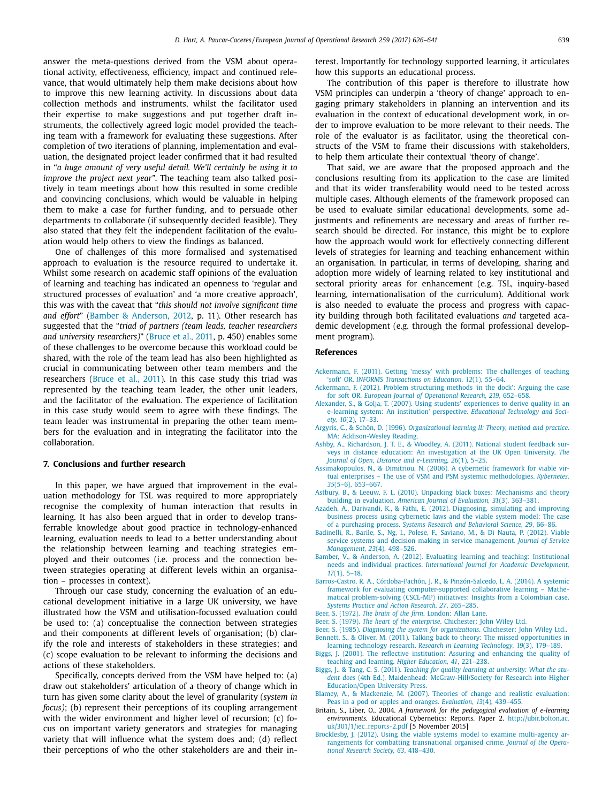<span id="page-13-0"></span>answer the meta-questions derived from the VSM about operational activity, effectiveness, efficiency, impact and continued relevance, that would ultimately help them make decisions about how to improve this new learning activity. In discussions about data collection methods and instruments, whilst the facilitator used their expertise to make suggestions and put together draft instruments, the collectively agreed logic model provided the teaching team with a framework for evaluating these suggestions. After completion of two iterations of planning, implementation and evaluation, the designated project leader confirmed that it had resulted in "*a huge amount of very useful detail. We'll certainly be using it to improve the project next year"*. The teaching team also talked positively in team meetings about how this resulted in some credible and convincing conclusions, which would be valuable in helping them to make a case for further funding, and to persuade other departments to collaborate (if subsequently decided feasible). They also stated that they felt the independent facilitation of the evaluation would help others to view the findings as balanced.

One of challenges of this more formalised and systematised approach to evaluation is the resource required to undertake it. Whilst some research on academic staff opinions of the evaluation of learning and teaching has indicated an openness to 'regular and structured processes of evaluation' and 'a more creative approach', this was with the caveat that "*this should not involve significant time and effort*" (Bamber & Anderson, 2012, p. 11). Other research has suggested that the "*triad of partners (team leads, teacher researchers and university researchers)*" (Bruce et al., 2011, p. 450) enables some of these challenges to be overcome because this workload could be shared, with the role of the team lead has also been highlighted as crucial in communicating between other team members and the researchers (Bruce et al., 2011). In this case study this triad was represented by the teaching team leader, the other unit leaders, and the facilitator of the evaluation. The experience of facilitation in this case study would seem to agree with these findings. The team leader was instrumental in preparing the other team members for the evaluation and in integrating the facilitator into the collaboration.

#### **7. Conclusions and further research**

In this paper, we have argued that improvement in the evaluation methodology for TSL was required to more appropriately recognise the complexity of human interaction that results in learning. It has also been argued that in order to develop transferrable knowledge about good practice in technology-enhanced learning, evaluation needs to lead to a better understanding about the relationship between learning and teaching strategies employed and their outcomes (i.e. process and the connection between strategies operating at different levels within an organisation – processes in context).

Through our case study, concerning the evaluation of an educational development initiative in a large UK university, we have illustrated how the VSM and utilisation-focussed evaluation could be used to: (a) conceptualise the connection between strategies and their components at different levels of organisation; (b) clarify the role and interests of stakeholders in these strategies; and (c) scope evaluation to be relevant to informing the decisions and actions of these stakeholders.

Specifically, concepts derived from the VSM have helped to: (a) draw out stakeholders' articulation of a theory of change which in turn has given some clarity about the level of granularity (*system in focus)*; (b) represent their perceptions of its coupling arrangement with the wider environment and higher level of recursion; (c) focus on important variety generators and strategies for managing variety that will influence what the system does and; (d) reflect their perceptions of who the other stakeholders are and their interest. Importantly for technology supported learning, it articulates how this supports an educational process.

The contribution of this paper is therefore to illustrate how VSM principles can underpin a 'theory of change' approach to engaging primary stakeholders in planning an intervention and its evaluation in the context of educational development work, in order to improve evaluation to be more relevant to their needs. The role of the evaluator is as facilitator, using the theoretical constructs of the VSM to frame their discussions with stakeholders, to help them articulate their contextual 'theory of change'.

That said, we are aware that the proposed approach and the conclusions resulting from its application to the case are limited and that its wider transferability would need to be tested across multiple cases. Although elements of the framework proposed can be used to evaluate similar educational developments, some adjustments and refinements are necessary and areas of further research should be directed. For instance, this might be to explore how the approach would work for effectively connecting different levels of strategies for learning and teaching enhancement within an organisation. In particular, in terms of developing, sharing and adoption more widely of learning related to key institutional and sectoral priority areas for enhancement (e.g. TSL, inquiry-based learning, internationalisation of the curriculum). Additional work is also needed to evaluate the process and progress with capacity building through both facilitated evaluations *and* targeted academic development (e.g. through the formal professional development program).

## **References**

- [Ackermann,](http://refhub.elsevier.com/S0377-2217(16)30906-7/sbref0001) F. (2011). Getting 'messy' with problems: The challenges of teaching 'soft' OR. *INFORMS [Transactions](http://refhub.elsevier.com/S0377-2217(16)30906-7/sbref0001) on Education, 12*(1), 55–64.
- [Ackermann,](http://refhub.elsevier.com/S0377-2217(16)30906-7/sbref0002) F. (2012). Problem structuring methods 'in the dock': Arguing the case for soft OR. *European Journal of [Operational](http://refhub.elsevier.com/S0377-2217(16)30906-7/sbref0002) Research, 219*, 652–658.
- [Alexander,](http://refhub.elsevier.com/S0377-2217(16)30906-7/sbref0003) S., [&](http://refhub.elsevier.com/S0377-2217(16)30906-7/sbref0003) [Golja,](http://refhub.elsevier.com/S0377-2217(16)30906-7/sbref0003) T. (2007). Using students' experiences to derive quality in an e-learning system: An institution' [perspective.](http://refhub.elsevier.com/S0377-2217(16)30906-7/sbref0003) *Educational Technology and Society, 10*(2), 17–33.
- [Argyris,](http://refhub.elsevier.com/S0377-2217(16)30906-7/sbref0004) C., [&](http://refhub.elsevier.com/S0377-2217(16)30906-7/sbref0004) [Schön,](http://refhub.elsevier.com/S0377-2217(16)30906-7/sbref0004) D. (1996). *Organizational learning II: Theory, method and practice*. MA: [Addison-Wesley](http://refhub.elsevier.com/S0377-2217(16)30906-7/sbref0004) Reading.
- [Ashby,](http://refhub.elsevier.com/S0377-2217(16)30906-7/sbref0005) A., [Richardson,](http://refhub.elsevier.com/S0377-2217(16)30906-7/sbref0005) J. T. E., [&](http://refhub.elsevier.com/S0377-2217(16)30906-7/sbref0005) [Woodley,](http://refhub.elsevier.com/S0377-2217(16)30906-7/sbref0005) A. (2011). National student feedback surveys in distance education: An [investigation](http://refhub.elsevier.com/S0377-2217(16)30906-7/sbref0005) at the UK Open University. *The Journal of Open, Distance and e-Learning, 26*(1), 5–25.
- [Assimakopoulos,](http://refhub.elsevier.com/S0377-2217(16)30906-7/sbref0006) N., [&](http://refhub.elsevier.com/S0377-2217(16)30906-7/sbref0006) [Dimitriou,](http://refhub.elsevier.com/S0377-2217(16)30906-7/sbref0006) N. (2006). A cybernetic framework for viable virtual enterprises – The use of VSM and PSM systemic [methodologies.](http://refhub.elsevier.com/S0377-2217(16)30906-7/sbref0006) *Kybernetes, 35*(5–6), 653–667.
- [Astbury,](http://refhub.elsevier.com/S0377-2217(16)30906-7/sbref0007) B., [&](http://refhub.elsevier.com/S0377-2217(16)30906-7/sbref0007) [Leeuw,](http://refhub.elsevier.com/S0377-2217(16)30906-7/sbref0007) F. L. (2010). Unpacking black boxes: [Mechanisms](http://refhub.elsevier.com/S0377-2217(16)30906-7/sbref0007) and theory building in evaluation. *American Journal of Evaluation, 31*(3), 363–381.
- [Azadeh,](http://refhub.elsevier.com/S0377-2217(16)30906-7/sbref0008) A., [Darivandi,](http://refhub.elsevier.com/S0377-2217(16)30906-7/sbref0008) K., [&](http://refhub.elsevier.com/S0377-2217(16)30906-7/sbref0008) [Fathi,](http://refhub.elsevier.com/S0377-2217(16)30906-7/sbref0008) E. (2012). [Diagnosing,](http://refhub.elsevier.com/S0377-2217(16)30906-7/sbref0008) simulating and improving business process using cybernetic laws and the viable system model: The case of a purchasing process. *Systems Research and Behavioral Science, 29*, 66–86.
- [Badinelli,](http://refhub.elsevier.com/S0377-2217(16)30906-7/sbref0009) R., [Barile,](http://refhub.elsevier.com/S0377-2217(16)30906-7/sbref0009) S., [Ng,](http://refhub.elsevier.com/S0377-2217(16)30906-7/sbref0009) I., [Polese,](http://refhub.elsevier.com/S0377-2217(16)30906-7/sbref0009) F., [Saviano,](http://refhub.elsevier.com/S0377-2217(16)30906-7/sbref0009) M., [&](http://refhub.elsevier.com/S0377-2217(16)30906-7/sbref0009) Di [Nauta,](http://refhub.elsevier.com/S0377-2217(16)30906-7/sbref0009) P. (2012). Viable service systems and decision making in service [management.](http://refhub.elsevier.com/S0377-2217(16)30906-7/sbref0009) *Journal of Service Management, 23*(4), 498–526.
- [Bamber,](http://refhub.elsevier.com/S0377-2217(16)30906-7/sbref0010) V., [&](http://refhub.elsevier.com/S0377-2217(16)30906-7/sbref0010) [Anderson,](http://refhub.elsevier.com/S0377-2217(16)30906-7/sbref0010) A. (2012). Evaluating learning and teaching: Institutional needs and individual practices. *International Journal for Academic [Development,](http://refhub.elsevier.com/S0377-2217(16)30906-7/sbref0010) 17*(1), 5–18.
- [Barros-Castro,](http://refhub.elsevier.com/S0377-2217(16)30906-7/sbref0011) R. A., [Córdoba-Pachón,](http://refhub.elsevier.com/S0377-2217(16)30906-7/sbref0011) J. R., [&](http://refhub.elsevier.com/S0377-2217(16)30906-7/sbref0011) [Pinzón-Salcedo,](http://refhub.elsevier.com/S0377-2217(16)30906-7/sbref0011) L. A. (2014). A systemic framework for evaluating [computer-supported](http://refhub.elsevier.com/S0377-2217(16)30906-7/sbref0011) collaborative learning – Mathematical problem-solving (CSCL-MP) initiatives: Insights from a Colombian case. *Systems Practice and Action Research, 27*, 265–285.
- [Beer,](http://refhub.elsevier.com/S0377-2217(16)30906-7/sbref0012) S. (1972). *The brain of the firm*. [London:](http://refhub.elsevier.com/S0377-2217(16)30906-7/sbref0012) Allan Lane.
- [Beer,](http://refhub.elsevier.com/S0377-2217(16)30906-7/sbref0013) S. (1979). *The heart of the enterprise*. [Chichester:](http://refhub.elsevier.com/S0377-2217(16)30906-7/sbref0013) John Wiley Ltd.
- [Beer,](http://refhub.elsevier.com/S0377-2217(16)30906-7/sbref0014) S. (1985). *Diagnosing the system for [organizations](http://refhub.elsevier.com/S0377-2217(16)30906-7/sbref0014)*. Chichester: John Wiley Ltd..
- [Bennett,](http://refhub.elsevier.com/S0377-2217(16)30906-7/sbref0015) S., [&](http://refhub.elsevier.com/S0377-2217(16)30906-7/sbref0015) [Oliver,](http://refhub.elsevier.com/S0377-2217(16)30906-7/sbref0015) M. (2011). Talking back to theory: The missed [opportunities](http://refhub.elsevier.com/S0377-2217(16)30906-7/sbref0015) in learning technology research. *Research in Learning Technology, 19*(3), 179–189.
- [Biggs,](http://refhub.elsevier.com/S0377-2217(16)30906-7/sbref0016) J. (2001). The reflective [institution:](http://refhub.elsevier.com/S0377-2217(16)30906-7/sbref0016) Assuring and enhancing the quality of teaching and learning. *Higher Education, 41*, 221–238.
- [Biggs,](http://refhub.elsevier.com/S0377-2217(16)30906-7/sbref0017) J., [&](http://refhub.elsevier.com/S0377-2217(16)30906-7/sbref0017) [Tang,](http://refhub.elsevier.com/S0377-2217(16)30906-7/sbref0017) C. S. (2011). Teaching for quality learning at university: What the stu-<br>dent does (4th Ed.). Maidenhead: [McGraw-Hill/Society](http://refhub.elsevier.com/S0377-2217(16)30906-7/sbref0017) for Research into Higher Education/Open University Press.
- [Blamey,](http://refhub.elsevier.com/S0377-2217(16)30906-7/sbref0018) A., [&](http://refhub.elsevier.com/S0377-2217(16)30906-7/sbref0018) [Mackenzie,](http://refhub.elsevier.com/S0377-2217(16)30906-7/sbref0018) M. (2007). Theories of change and realistic [evaluation:](http://refhub.elsevier.com/S0377-2217(16)30906-7/sbref0018) Peas in a pod or apples and oranges. *Evaluation, 13*(4), 439–455.
- Britain, S., Liber, O., 2004. *A framework for the pedagogical evaluation of e-learning environments.* Educational Cybernetics: Reports. Paper 2. http://ubir.bolton.ac. [uk/301/1/iec\\_reports-2.pdf](http://ubir.bolton.ac.uk/301/1/iec_reports-2.pdf) [5 November 2015]
- [Brocklesby,](http://refhub.elsevier.com/S0377-2217(16)30906-7/sbref0020) J. (2012). Using the viable systems model to examine multi-agency arrangements for combatting [transnational](http://refhub.elsevier.com/S0377-2217(16)30906-7/sbref0020) organised crime. *Journal of the Operational Research Society, 63*, 418–430.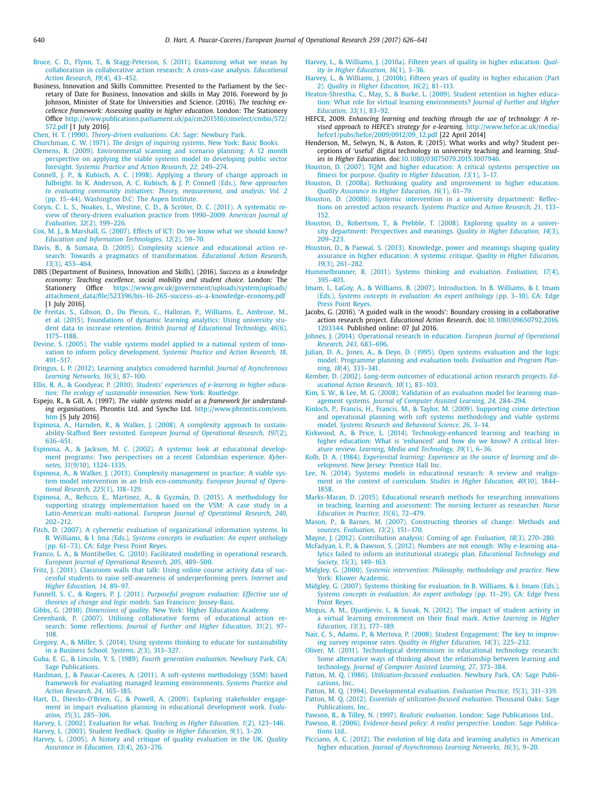<span id="page-14-0"></span>[Bruce,](http://refhub.elsevier.com/S0377-2217(16)30906-7/sbref0021) C. D., [Flynn,](http://refhub.elsevier.com/S0377-2217(16)30906-7/sbref0021) T., [&](http://refhub.elsevier.com/S0377-2217(16)30906-7/sbref0021) [Stagg-Peterson,](http://refhub.elsevier.com/S0377-2217(16)30906-7/sbref0021) S. (2011). Examining what we mean by collaboration in collaborative action research: A cross-case analysis. *Educational Action Research, 19*(4), 43–452.

Business, Innovation and Skills Committee. Presented to the Parliament by the Secretary of Date for Business, Innovation and skills in May 2016. Foreword by Jo Johnson, Minister of State for Universities and Science. (2016). *The teaching excellence framework: Assessing quality in higher education*. London: The Stationery Office [http://www.publications.parliament.uk/pa/cm201516/cmselect/cmbis/572/](http://www.publications.parliament.uk/pa/cm201516/cmselect/cmbis/572/572.pdf) 572.pdf [1 July 2016].

[Chen,](http://refhub.elsevier.com/S0377-2217(16)30906-7/sbref0023) H. T. (1990). *[Theory-driven](http://refhub.elsevier.com/S0377-2217(16)30906-7/sbref0023) evaluations*. CA: Sage: Newbury Park.

- [Churchman,](http://refhub.elsevier.com/S0377-2217(16)30906-7/sbref0024) C. W. (1971). *The design of [inquiring](http://refhub.elsevier.com/S0377-2217(16)30906-7/sbref0024) systems*. New York: Basic Books.
- [Clemens,](http://refhub.elsevier.com/S0377-2217(16)30906-7/sbref0025) R. (2009). [Environmental](http://refhub.elsevier.com/S0377-2217(16)30906-7/sbref0025) scanning and scenario planning: A 12 month perspective on applying the viable systems model to developing public sector foresight. *Systemic Practice and Action Research, 22*, 249–274.
- [Connell,](http://refhub.elsevier.com/S0377-2217(16)30906-7/sbref0026) J. P., [&](http://refhub.elsevier.com/S0377-2217(16)30906-7/sbref0026) [Kubisch,](http://refhub.elsevier.com/S0377-2217(16)30906-7/sbref0026) A. C. (1998). Applying a theory of change approach in fulbright. In K. Anderson, A. C. Kubisch, & J. P. Connell (Eds.), *New approaches to evaluating community initiatives: Theory, [measurement,](http://refhub.elsevier.com/S0377-2217(16)30906-7/sbref0026) and analysis: Vol. 2* (pp. 15–44). Washington D.C: The Aspen Institute.
- [Coryn,](http://refhub.elsevier.com/S0377-2217(16)30906-7/sbref0027) C. L. S., [Noakes,](http://refhub.elsevier.com/S0377-2217(16)30906-7/sbref0027) L., [Westine,](http://refhub.elsevier.com/S0377-2217(16)30906-7/sbref0027) C. D., [&](http://refhub.elsevier.com/S0377-2217(16)30906-7/sbref0027) [Scröter,](http://refhub.elsevier.com/S0377-2217(16)30906-7/sbref0027) D. C. (2011). A systematic review of [theory-driven](http://refhub.elsevier.com/S0377-2217(16)30906-7/sbref0027) evaluation practice from 1990–2009. *American Journal of Evaluation, 32*(2), 199–226.
- [Cox,](http://refhub.elsevier.com/S0377-2217(16)30906-7/sbref0028) M. J., [&](http://refhub.elsevier.com/S0377-2217(16)30906-7/sbref0028) [Marshall,](http://refhub.elsevier.com/S0377-2217(16)30906-7/sbref0028) G. (2007). Effects of ICT: Do we know what we should know? *Education and Information [Technologies,](http://refhub.elsevier.com/S0377-2217(16)30906-7/sbref0028) 12*(2), 59–70.
- [Davis,](http://refhub.elsevier.com/S0377-2217(16)30906-7/sbref0029) B., [&](http://refhub.elsevier.com/S0377-2217(16)30906-7/sbref0029) [Sumara,](http://refhub.elsevier.com/S0377-2217(16)30906-7/sbref0029) D. (2005). Complexity science and educational action research: Towards a pragmatics of [transformation.](http://refhub.elsevier.com/S0377-2217(16)30906-7/sbref0029) *Educational Action Research, 13*(3), 453–464.
- DBIS (Department of Business, Innovation and Skills). (2016). *Success as a knowledge economy: Teaching excellence, social mobility and student choice*. London: The Stationery Office https://www.gov.uk/government/uploads/system/uploads/ [attachment\\_data/file/523396/bis-16-265-success-as-a-knowledge-economy.pdf](https://www.gov.uk/government/uploads/system/uploads/attachment_data/file/523396/bis-16-265-success-as-a-knowledge-economy.pdf) [1 July 2016].
- De [Freitas,](http://refhub.elsevier.com/S0377-2217(16)30906-7/sbref0031) S., [Gibson,](http://refhub.elsevier.com/S0377-2217(16)30906-7/sbref0031) D., Du [Plessis,](http://refhub.elsevier.com/S0377-2217(16)30906-7/sbref0031) C., [Halloran,](http://refhub.elsevier.com/S0377-2217(16)30906-7/sbref0031) P., [Williams,](http://refhub.elsevier.com/S0377-2217(16)30906-7/sbref0031) E., [Ambrose,](http://refhub.elsevier.com/S0377-2217(16)30906-7/sbref0031) M., et [al.](http://refhub.elsevier.com/S0377-2217(16)30906-7/sbref0031) (2015). [Foundations](http://refhub.elsevier.com/S0377-2217(16)30906-7/sbref0031) of dynamic learning analytics: Using university student data to increase retention. *British Journal of Educational Technology, 46*(6), 1175–1188.
- [Devine,](http://refhub.elsevier.com/S0377-2217(16)30906-7/sbref0032) S. (2005). The viable systems model applied to a national system of innovation to inform policy [development.](http://refhub.elsevier.com/S0377-2217(16)30906-7/sbref0032) *Systemic Practice and Action Research, 18*, 491–517.
- [Dringus,](http://refhub.elsevier.com/S0377-2217(16)30906-7/sbref0033) L. P. (2012). Learning analytics considered harmful. *Journal of [Asynchronous](http://refhub.elsevier.com/S0377-2217(16)30906-7/sbref0033) Learning Networks, 16*(3), 87–100.
- [Ellis,](http://refhub.elsevier.com/S0377-2217(16)30906-7/sbref0034) R. A., [&](http://refhub.elsevier.com/S0377-2217(16)30906-7/sbref0034) [Goodyear,](http://refhub.elsevier.com/S0377-2217(16)30906-7/sbref0034) P. (2010). *Students' [experiences](http://refhub.elsevier.com/S0377-2217(16)30906-7/sbref0034) of e-learning in higher education: The ecology of sustainable innovation*. New York: Routledge.
- Espejo, R., & Gill, A. (1997). *The viable systems model as a framework for understanding organisations*. Phrontis Ltd. and Syncho Ltd. [http://www.phrontis.com/vsm.](http://www.phrontis.com/vsm.htm) htm [5 July 2016].
- [Espinosa,](http://refhub.elsevier.com/S0377-2217(16)30906-7/sbref0036) A., [Harnden,](http://refhub.elsevier.com/S0377-2217(16)30906-7/sbref0036) R., [&](http://refhub.elsevier.com/S0377-2217(16)30906-7/sbref0036) [Walker,](http://refhub.elsevier.com/S0377-2217(16)30906-7/sbref0036) J. (2008). A complexity approach to sustain[ability-Stafford](http://refhub.elsevier.com/S0377-2217(16)30906-7/sbref0036) Beer revisited. *European Journal of Operational Research, 197*(2), 636–651.
- [Espinosa,](http://refhub.elsevier.com/S0377-2217(16)30906-7/sbref0037) A., [&](http://refhub.elsevier.com/S0377-2217(16)30906-7/sbref0037) [Jackson,](http://refhub.elsevier.com/S0377-2217(16)30906-7/sbref0037) M. C. (2002). A systemic look at educational development programs: Two [perspectives](http://refhub.elsevier.com/S0377-2217(16)30906-7/sbref0037) on a recent Colombian experience. *Kybernetes, 31*(9/10), 1324–1335.
- [Espinosa,](http://refhub.elsevier.com/S0377-2217(16)30906-7/sbref0038) A., [&](http://refhub.elsevier.com/S0377-2217(16)30906-7/sbref0038) [Walker,](http://refhub.elsevier.com/S0377-2217(16)30906-7/sbref0038) J. (2013). Complexity management in practice: A viable system model intervention in an Irish [eco-community.](http://refhub.elsevier.com/S0377-2217(16)30906-7/sbref0038) *European Journal of Operational Research, 225*(1), 118–129.
- [Espinosa,](http://refhub.elsevier.com/S0377-2217(16)30906-7/sbref0039) A., [Reficco,](http://refhub.elsevier.com/S0377-2217(16)30906-7/sbref0039) E., [Martinez,](http://refhub.elsevier.com/S0377-2217(16)30906-7/sbref0039) A., [&](http://refhub.elsevier.com/S0377-2217(16)30906-7/sbref0039) [Gyzmán,](http://refhub.elsevier.com/S0377-2217(16)30906-7/sbref0039) D. (2015). A methodology for supporting strategy [implementation](http://refhub.elsevier.com/S0377-2217(16)30906-7/sbref0039) based on the VSM: A case study in a Latin-American multi-national. *European Journal of Operational Research, 240*, 202–212.
- [Fitch,](http://refhub.elsevier.com/S0377-2217(16)30906-7/sbref0040) D. (2007). A cybernetic evaluation of [organizational](http://refhub.elsevier.com/S0377-2217(16)30906-7/sbref0040) information systems. In B. Williams, & I. Ima (Eds.), *Systems concepts in evaluation: An expert anthology* (pp. 61–73). CA: Edge Press Point Reyes.
- [Franco,](http://refhub.elsevier.com/S0377-2217(16)30906-7/sbref0041) L. A., [&](http://refhub.elsevier.com/S0377-2217(16)30906-7/sbref0041) [Montibeller,](http://refhub.elsevier.com/S0377-2217(16)30906-7/sbref0041) G. (2010). Facilitated modelling in operational research. *European Journal of Operational Research, 205*, 489–500.
- [Fritz,](http://refhub.elsevier.com/S0377-2217(16)30906-7/sbref0042) J. (2011). Classroom walls that talk: Using online course activity data of successful students to raise self-awareness of [underperforming](http://refhub.elsevier.com/S0377-2217(16)30906-7/sbref0042) peers. *Internet and Higher Education, 14*, 89–97.
- [Funnell,](http://refhub.elsevier.com/S0377-2217(16)30906-7/sbref0043) S. C., [&](http://refhub.elsevier.com/S0377-2217(16)30906-7/sbref0043) [Rogers,](http://refhub.elsevier.com/S0377-2217(16)30906-7/sbref0043) P. J. (2011). *Purposeful program evaluation: Effective use of theories of change and logic models*. San Francisco: [Jossey-Bass.](http://refhub.elsevier.com/S0377-2217(16)30906-7/sbref0043)
- [Gibbs,](http://refhub.elsevier.com/S0377-2217(16)30906-7/sbref0044) G. (2010). *[Dimensions](http://refhub.elsevier.com/S0377-2217(16)30906-7/sbref0044) of quality*. New York: Higher Education Academy.
- [Greenbank,](http://refhub.elsevier.com/S0377-2217(16)30906-7/sbref0045) P. (2007). Utilising [collaborative](http://refhub.elsevier.com/S0377-2217(16)30906-7/sbref0045) forms of educational action research: Some reflections. *Journal of Further and Higher Education, 31*(2), 97– 108.
- [Gregory,](http://refhub.elsevier.com/S0377-2217(16)30906-7/sbref0046) A., [&](http://refhub.elsevier.com/S0377-2217(16)30906-7/sbref0046) [Miller,](http://refhub.elsevier.com/S0377-2217(16)30906-7/sbref0046) S. (2014). Using systems thinking to educate for [sustainability](http://refhub.elsevier.com/S0377-2217(16)30906-7/sbref0046) in a Business School. *Systems, 2*(3), 313–327.
- [Guba,](http://refhub.elsevier.com/S0377-2217(16)30906-7/sbref0047) E. G., [&](http://refhub.elsevier.com/S0377-2217(16)30906-7/sbref0047) [Lincoln,](http://refhub.elsevier.com/S0377-2217(16)30906-7/sbref0047) Y. S. (1989). *Fourth generation evaluation*. Newbury Park, CA: Sage [Publications.](http://refhub.elsevier.com/S0377-2217(16)30906-7/sbref0047)
- [Hardman,](http://refhub.elsevier.com/S0377-2217(16)30906-7/sbref0048) J., [&](http://refhub.elsevier.com/S0377-2217(16)30906-7/sbref0048) [Paucar-Caceres,](http://refhub.elsevier.com/S0377-2217(16)30906-7/sbref0048) A. (2011). A soft-systems methodology (SSM) based framework for evaluating managed learning environments. *Systems Practice and Action Research, 24*, 165–185.
- [Hart,](http://refhub.elsevier.com/S0377-2217(16)30906-7/sbref0049) D., [Diercks-O'Brien,](http://refhub.elsevier.com/S0377-2217(16)30906-7/sbref0049) G., [&](http://refhub.elsevier.com/S0377-2217(16)30906-7/sbref0049) [Powell,](http://refhub.elsevier.com/S0377-2217(16)30906-7/sbref0049) A. (2009). Exploring stakeholder engagement in impact evaluation planning in educational development work. *Evaluation, 15*(3), 285–306.
- [Harvey,](http://refhub.elsevier.com/S0377-2217(16)30906-7/sbref0050) L. (2002). [Evaluation](http://refhub.elsevier.com/S0377-2217(16)30906-7/sbref0050) for what. *Teaching in Higher Education, 1*(2), 123–146.
- [Harvey,](http://refhub.elsevier.com/S0377-2217(16)30906-7/sbref0051) L. (2003). Student feedback. *Quality in Higher [Education,](http://refhub.elsevier.com/S0377-2217(16)30906-7/sbref0051) 9*(1), 3–20.
- [Harvey,](http://refhub.elsevier.com/S0377-2217(16)30906-7/sbref0052) L. (2005). A history and critique of quality [evaluation](http://refhub.elsevier.com/S0377-2217(16)30906-7/sbref0052) in the UK. *Quality Assurance in Education, 13*(4), 263–276.
- [Harvey,](http://refhub.elsevier.com/S0377-2217(16)30906-7/sbref0053) L., [&](http://refhub.elsevier.com/S0377-2217(16)30906-7/sbref0053) [Williams,](http://refhub.elsevier.com/S0377-2217(16)30906-7/sbref0053) J. (2010a). Fifteen years of quality in higher [education.](http://refhub.elsevier.com/S0377-2217(16)30906-7/sbref0053) *Quality in Higher Education, 16*(1), 3–36.
- [Harvey,](http://refhub.elsevier.com/S0377-2217(16)30906-7/sbref0054) L., [&](http://refhub.elsevier.com/S0377-2217(16)30906-7/sbref0054) [Williams,](http://refhub.elsevier.com/S0377-2217(16)30906-7/sbref0054) J. (2010b). Fifteen years of quality in higher education (Part 2). *Quality in Higher [Education,](http://refhub.elsevier.com/S0377-2217(16)30906-7/sbref0054) 16*(2), 81–113.
- [Heaton-Shrestha,](http://refhub.elsevier.com/S0377-2217(16)30906-7/sbref0055) C., [May,](http://refhub.elsevier.com/S0377-2217(16)30906-7/sbref0055) S., [&](http://refhub.elsevier.com/S0377-2217(16)30906-7/sbref0055) [Burke,](http://refhub.elsevier.com/S0377-2217(16)30906-7/sbref0055) L. (2009). Student retention in higher education: What role for virtual learning [environments?](http://refhub.elsevier.com/S0377-2217(16)30906-7/sbref0055) *Journal of Further and Higher Education, 33*(1), 83–92.
- HEFCE, 2009. *Enhancing learning and teaching through the use of technology: A revised approach to HEFCE's strategy for e-learning.* http://www.hefce.ac.uk/media/ [hefce1/pubs/hefce/2009/0912/09\\_12.pdf](http://www.hefce.ac.uk/media/hefce1/pubs/hefce/2009/0912/09_12.pdf) [22 April 2014]
- Henderson, M., Selwyn, N., & Aston, R. (2015). What works and why? Student perceptions of 'useful' digital technology in university teaching and learning. *Studies in Higher Education*. doi[:10.1080/03075079.2015.1007946.](http://dx.doi.org/10.1080/03075079.2015.1007946)
- [Houston,](http://refhub.elsevier.com/S0377-2217(16)30906-7/sbref0058) D. (2007). TQM and higher education: A critical systems [perspective](http://refhub.elsevier.com/S0377-2217(16)30906-7/sbref0058) on fitness for purpose. *Quality in Higher Education, 13*(1), 3–17.
- [Houston,](http://refhub.elsevier.com/S0377-2217(16)30906-7/sbref0059) D. (2008a). Rethinking quality and [improvement](http://refhub.elsevier.com/S0377-2217(16)30906-7/sbref0059) in higher education. *Quality Assurance in Higher Education, 16*(1), 61–79.
- [Houston,](http://refhub.elsevier.com/S0377-2217(16)30906-7/sbref0060) D. (2008b). Systemic intervention in a university [department:](http://refhub.elsevier.com/S0377-2217(16)30906-7/sbref0060) Reflections on arrested action research. *Systems Practice and Action Research, 21*, 133– 152.
- [Houston,](http://refhub.elsevier.com/S0377-2217(16)30906-7/sbref0061) D., [Robertson,](http://refhub.elsevier.com/S0377-2217(16)30906-7/sbref0061) T., [&](http://refhub.elsevier.com/S0377-2217(16)30906-7/sbref0061) [Prebble,](http://refhub.elsevier.com/S0377-2217(16)30906-7/sbref0061) T. (2008). Exploring quality in a university [department:](http://refhub.elsevier.com/S0377-2217(16)30906-7/sbref0061) Perspectives and meanings. *Quality in Higher Education, 14*(3), 209–223.
- [Houston,](http://refhub.elsevier.com/S0377-2217(16)30906-7/sbref0062) D., [&](http://refhub.elsevier.com/S0377-2217(16)30906-7/sbref0062) [Paewal,](http://refhub.elsevier.com/S0377-2217(16)30906-7/sbref0062) S. (2013). [Knowledge,](http://refhub.elsevier.com/S0377-2217(16)30906-7/sbref0062) power and meanings shaping quality assurance in higher education: A systemic critique. *Quality in Higher Education, 19*(3), 261–282.
- [Hummelbrunner,](http://refhub.elsevier.com/S0377-2217(16)30906-7/sbref0063) R. (2011). Systems thinking and evaluation. *Evaluation, 17*(4), 395–403.
- [Imam,](http://refhub.elsevier.com/S0377-2217(16)30906-7/sbref0064) I., [LaGoy,](http://refhub.elsevier.com/S0377-2217(16)30906-7/sbref0064) A., [&](http://refhub.elsevier.com/S0377-2217(16)30906-7/sbref0064) [Williams,](http://refhub.elsevier.com/S0377-2217(16)30906-7/sbref0064) B. (2007). [Introduction.](http://refhub.elsevier.com/S0377-2217(16)30906-7/sbref0064) In B. Williams, & I. Imam (Eds.), *Systems concepts in evaluation: An expert anthology* (pp. 3–10). CA: Edge Press Point Reyes.
- Jacobs, G. (2016). 'A guided walk in the woods': Boundary crossing in a collaborative action research project. *Educational Action Research*. doi:10.1080/09650792.2016. 1203344. [Published online: 07 Jul 2016.](http://dx.doi.org/10.1080/09650792.2016.1203344)
- [Johnes,](http://refhub.elsevier.com/S0377-2217(16)30906-7/sbref0066) J. (2014). [Operational](http://refhub.elsevier.com/S0377-2217(16)30906-7/sbref0066) research in education. *European Journal of Operational Research, 243*, 683–696.
- [Julian,](http://refhub.elsevier.com/S0377-2217(16)30906-7/sbref0067) D. A., [Jones,](http://refhub.elsevier.com/S0377-2217(16)30906-7/sbref0067) A., [&](http://refhub.elsevier.com/S0377-2217(16)30906-7/sbref0067) [Deyo,](http://refhub.elsevier.com/S0377-2217(16)30906-7/sbref0067) D. (1995). Open systems evaluation and the logic model: [Programme](http://refhub.elsevier.com/S0377-2217(16)30906-7/sbref0067) planning and evaluation tools. *Evaluation and Program Planning, 18*(4), 333–341.
- [Kember,](http://refhub.elsevier.com/S0377-2217(16)30906-7/sbref0068) D. (2002). Long-term outcomes of [educational](http://refhub.elsevier.com/S0377-2217(16)30906-7/sbref0068) action research projects. *Educational Action Research, 10*(1), 83–103.
- [Kim,](http://refhub.elsevier.com/S0377-2217(16)30906-7/sbref0069) S. W., [&](http://refhub.elsevier.com/S0377-2217(16)30906-7/sbref0069) [Lee,](http://refhub.elsevier.com/S0377-2217(16)30906-7/sbref0069) M. G. (2008). Validation of an [evaluation](http://refhub.elsevier.com/S0377-2217(16)30906-7/sbref0069) model for learning management systems. *Journal of Computer Assisted Learning, 24*, 284–294.
- [Kinloch,](http://refhub.elsevier.com/S0377-2217(16)30906-7/sbref0070) P., [Francis,](http://refhub.elsevier.com/S0377-2217(16)30906-7/sbref0070) H., [Francis,](http://refhub.elsevier.com/S0377-2217(16)30906-7/sbref0070) M., [&](http://refhub.elsevier.com/S0377-2217(16)30906-7/sbref0070) [Taylor,](http://refhub.elsevier.com/S0377-2217(16)30906-7/sbref0070) M. (2009). Supporting crime detection and operational planning with soft systems [methodology](http://refhub.elsevier.com/S0377-2217(16)30906-7/sbref0070) and viable systems model. *Systems Research and Behavioral Science, 26*, 3–14.
- [Kirkwood,](http://refhub.elsevier.com/S0377-2217(16)30906-7/sbref0071) A., [&](http://refhub.elsevier.com/S0377-2217(16)30906-7/sbref0071) [Price,](http://refhub.elsevier.com/S0377-2217(16)30906-7/sbref0071) L. (2014). [Technology-enhanced](http://refhub.elsevier.com/S0377-2217(16)30906-7/sbref0071) learning and teaching in higher education: What is 'enhanced' and how do we know? A critical literature review. *Learning, Media and Technology, 39*(1), 6–36.
- [Kolb,](http://refhub.elsevier.com/S0377-2217(16)30906-7/sbref0072) D. A. (1984). *[Experiential](http://refhub.elsevier.com/S0377-2217(16)30906-7/sbref0072) learning: Experience as the source of learning and development*. New Jersey: Prentice Hall Inc.
- [Lee,](http://refhub.elsevier.com/S0377-2217(16)30906-7/sbref0073) N. (2014). Systems models in [educational](http://refhub.elsevier.com/S0377-2217(16)30906-7/sbref0073) research: A review and realignment in the context of curriculum. *Studies in Higher Education, 40*(10), 1844– 1858.
- [Marks-Maran,](http://refhub.elsevier.com/S0377-2217(16)30906-7/sbref0074) D. (2015). Educational research methods for researching innovations in teaching, learning and [assessment:](http://refhub.elsevier.com/S0377-2217(16)30906-7/sbref0074) The nursing lecturer as researcher. *Nurse Education in Practice, 15*(6), 72–479.
- [Mason,](http://refhub.elsevier.com/S0377-2217(16)30906-7/sbref0075) P., [&](http://refhub.elsevier.com/S0377-2217(16)30906-7/sbref0075) [Barnes,](http://refhub.elsevier.com/S0377-2217(16)30906-7/sbref0075) M. (2007). [Constructing](http://refhub.elsevier.com/S0377-2217(16)30906-7/sbref0075) theories of change: Methods and sources. *Evaluation, 13*(2), 151–170.
- [Mayne,](http://refhub.elsevier.com/S0377-2217(16)30906-7/sbref0076) J. (2012). [Contribution](http://refhub.elsevier.com/S0377-2217(16)30906-7/sbref0076) analysis: Coming of age. *Evaluation, 18*(3), 270–280.
- [McFadyan,](http://refhub.elsevier.com/S0377-2217(16)30906-7/sbref0077) L. P., [&](http://refhub.elsevier.com/S0377-2217(16)30906-7/sbref0077) [Dawson,](http://refhub.elsevier.com/S0377-2217(16)30906-7/sbref0077) S. (2012). Numbers are not enough: Why e-learning analytics failed to inform an [institutional](http://refhub.elsevier.com/S0377-2217(16)30906-7/sbref0077) strategic plan. *Educational Technology and Society, 15*(3), 149–163.
- [Midgley,](http://refhub.elsevier.com/S0377-2217(16)30906-7/sbref0078) G. (2000). *Systemic intervention: Philosophy, [methodology](http://refhub.elsevier.com/S0377-2217(16)30906-7/sbref0078) and practice*. New York: Kluwer Academic.
- [Midgley,](http://refhub.elsevier.com/S0377-2217(16)30906-7/sbref0079) G. (2007). Systems thinking for [evaluation.](http://refhub.elsevier.com/S0377-2217(16)30906-7/sbref0079) In B. Williams, & I. Imam (Eds.), *Systems concepts in evaluation: An expert anthology* (pp. 11–29). CA: Edge Press Point Reves.
- [Mogus,](http://refhub.elsevier.com/S0377-2217(16)30906-7/sbref0080) A. M., [Djurdjeviv,](http://refhub.elsevier.com/S0377-2217(16)30906-7/sbref0080) I., [&](http://refhub.elsevier.com/S0377-2217(16)30906-7/sbref0080) [Suvak,](http://refhub.elsevier.com/S0377-2217(16)30906-7/sbref0080) N. (2012). The impact of student activity in a virtual learning [environment](http://refhub.elsevier.com/S0377-2217(16)30906-7/sbref0080) on their final mark. *Active Learning in Higher Education, 13*(3), 177–189.
- [Nair,](http://refhub.elsevier.com/S0377-2217(16)30906-7/sbref0081) C. S., [Adams,](http://refhub.elsevier.com/S0377-2217(16)30906-7/sbref0081) P., [&](http://refhub.elsevier.com/S0377-2217(16)30906-7/sbref0081) [Mertova,](http://refhub.elsevier.com/S0377-2217(16)30906-7/sbref0081) P. (2008). Student [Engagement:](http://refhub.elsevier.com/S0377-2217(16)30906-7/sbref0081) The key to improving survey response rates. *Quality in Higher Education, 14*(3), 225–232.
- [Oliver,](http://refhub.elsevier.com/S0377-2217(16)30906-7/sbref0082) M. (2011). [Technological](http://refhub.elsevier.com/S0377-2217(16)30906-7/sbref0082) determinism in educational technology research: Some alternative ways of thinking about the relationship between learning and technology. *Journal of Computer Assisted Learning, 27*, 373–384.
- [Patton,](http://refhub.elsevier.com/S0377-2217(16)30906-7/sbref0083) M. Q. (1986). *[Utilization-focussed](http://refhub.elsevier.com/S0377-2217(16)30906-7/sbref0083) evaluation*. Newbury Park, CA: Sage Publications, Inc..
- [Patton,](http://refhub.elsevier.com/S0377-2217(16)30906-7/sbref0084) M. Q. (1994). [Developmental](http://refhub.elsevier.com/S0377-2217(16)30906-7/sbref0084) evaluation. *Evaluation Practice, 15*(3), 311–339. [Patton,](http://refhub.elsevier.com/S0377-2217(16)30906-7/sbref0085) M. Q. (2012). *Essentials of [utilization-focused](http://refhub.elsevier.com/S0377-2217(16)30906-7/sbref0085) evaluation*. Thousand Oaks: Sage Publications, Inc..
- [Pawson,](http://refhub.elsevier.com/S0377-2217(16)30906-7/sbref0086) R., [&](http://refhub.elsevier.com/S0377-2217(16)30906-7/sbref0086) [Tilley,](http://refhub.elsevier.com/S0377-2217(16)30906-7/sbref0086) N. (1997). *Realistic evaluation*. London: Sage [Publications](http://refhub.elsevier.com/S0377-2217(16)30906-7/sbref0086) Ltd..
- [Pawson,](http://refhub.elsevier.com/S0377-2217(16)30906-7/sbref0087) R. (2006). *[Evidence-based](http://refhub.elsevier.com/S0377-2217(16)30906-7/sbref0087) policy: A realist perspective*. London: Sage Publications Ltd..
- [Picciano,](http://refhub.elsevier.com/S0377-2217(16)30906-7/sbref0088) A. C. (2012). The evolution of big data and learning analytics in American higher education. *Journal of [Asynchronous](http://refhub.elsevier.com/S0377-2217(16)30906-7/sbref0088) Learning Networks, 16*(3), 9–20.